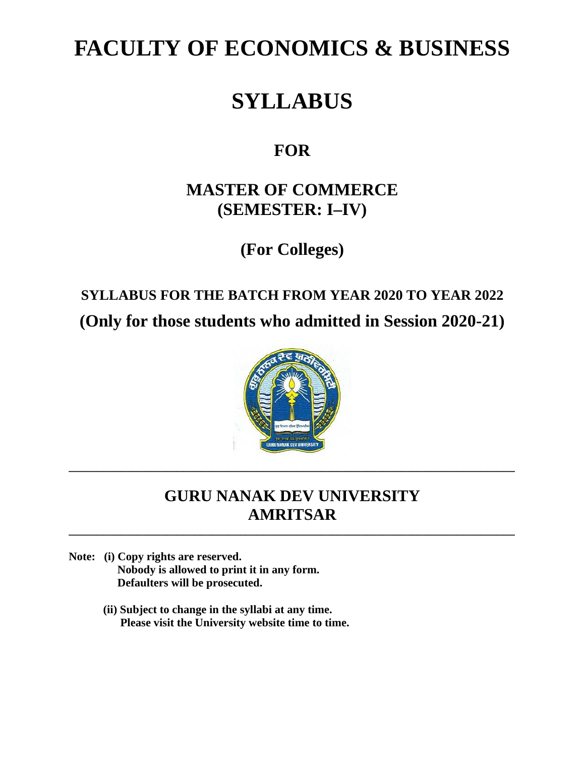# **FACULTY OF ECONOMICS & BUSINESS**

# **SYLLABUS**

# **FOR**

# **MASTER OF COMMERCE (SEMESTER: I–IV)**

**(For Colleges)**

# **SYLLABUS FOR THE BATCH FROM YEAR 2020 TO YEAR 2022 (Only for those students who admitted in Session 2020-21)**



# **GURU NANAK DEV UNIVERSITY AMRITSAR**

**\_\_\_\_\_\_\_\_\_\_\_\_\_\_\_\_\_\_\_\_\_\_\_\_\_\_\_\_\_\_\_\_\_\_\_\_\_\_\_\_\_\_\_\_\_\_\_\_\_\_\_\_\_\_\_\_\_\_\_\_\_\_\_\_\_\_\_\_\_\_\_\_\_\_\_\_\_\_**

**\_\_\_\_\_\_\_\_\_\_\_\_\_\_\_\_\_\_\_\_\_\_\_\_\_\_\_\_\_\_\_\_\_\_\_\_\_\_\_\_\_\_\_\_\_\_\_\_\_\_\_\_\_\_\_\_\_\_\_\_\_\_\_\_\_\_\_\_\_\_\_\_\_\_\_\_\_\_**

- **Note: (i) Copy rights are reserved. Nobody is allowed to print it in any form. Defaulters will be prosecuted.**
	- **(ii) Subject to change in the syllabi at any time. Please visit the University website time to time.**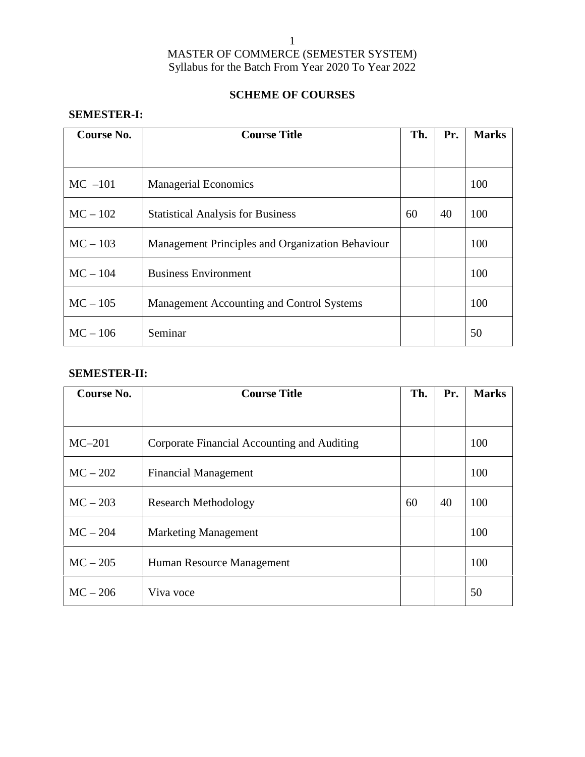# 1

# MASTER OF COMMERCE (SEMESTER SYSTEM) Syllabus for the Batch From Year 2020 To Year 2022

# **SCHEME OF COURSES**

# **SEMESTER-I:**

| Course No. | <b>Course Title</b>                              | Th. | Pr. | <b>Marks</b> |
|------------|--------------------------------------------------|-----|-----|--------------|
|            |                                                  |     |     |              |
| $MC -101$  | <b>Managerial Economics</b>                      |     |     | 100          |
| $MC - 102$ | <b>Statistical Analysis for Business</b>         | 60  | 40  | 100          |
| $MC - 103$ | Management Principles and Organization Behaviour |     |     | 100          |
| $MC - 104$ | <b>Business Environment</b>                      |     |     | 100          |
| $MC - 105$ | Management Accounting and Control Systems        |     |     | 100          |
| $MC - 106$ | Seminar                                          |     |     | 50           |

# **SEMESTER-II:**

| Course No. | <b>Course Title</b>                         | Th. | Pr. | <b>Marks</b> |
|------------|---------------------------------------------|-----|-----|--------------|
|            |                                             |     |     |              |
| $MC-201$   | Corporate Financial Accounting and Auditing |     |     | 100          |
| $MC-202$   | <b>Financial Management</b>                 |     |     | 100          |
| $MC - 203$ | <b>Research Methodology</b>                 | 60  | 40  | 100          |
| $MC - 204$ | <b>Marketing Management</b>                 |     |     | 100          |
| $MC - 205$ | Human Resource Management                   |     |     | 100          |
| $MC - 206$ | Viva voce                                   |     |     | 50           |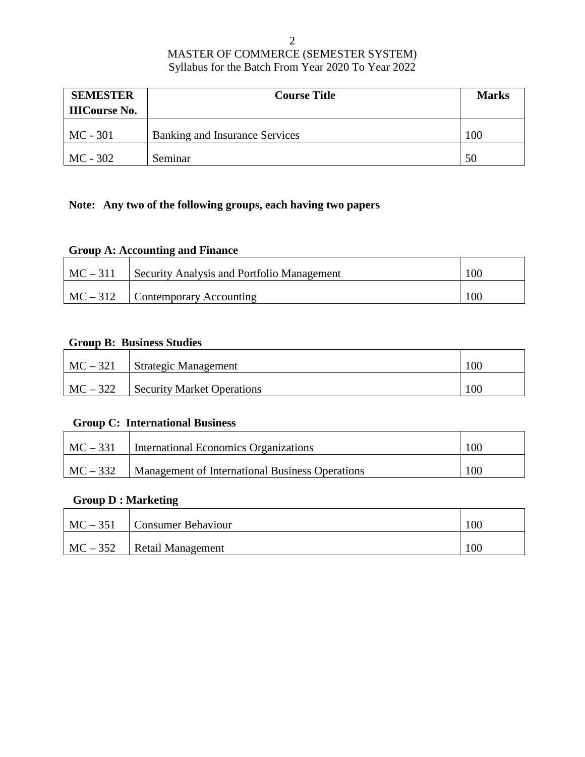| <b>SEMESTER</b>      | <b>Course Title</b>                   | <b>Marks</b> |
|----------------------|---------------------------------------|--------------|
| <b>IIICourse No.</b> |                                       |              |
| $MC - 301$           | <b>Banking and Insurance Services</b> | 100          |
| $MC - 302$           | Seminar                               | 50           |

# **Note: Any two of the following groups, each having two papers**

# **Group A: Accounting and Finance**

| $MC-311$ | Security Analysis and Portfolio Management | 100 |
|----------|--------------------------------------------|-----|
| $MC-312$ | <b>Contemporary Accounting</b>             | 100 |

# **Group B: Business Studies**

| $MC - 321$ | Strategic Management              | 100 |
|------------|-----------------------------------|-----|
| $MC - 322$ | <b>Security Market Operations</b> | 100 |

# **Group C: International Business**

| $MC-331$   | International Economics Organizations           | 100 |
|------------|-------------------------------------------------|-----|
| $MC - 332$ | Management of International Business Operations | 100 |

# **Group D : Marketing**

| $MC - 351$ | Consumer Behaviour       | 100 |
|------------|--------------------------|-----|
| $MC - 352$ | <b>Retail Management</b> | 100 |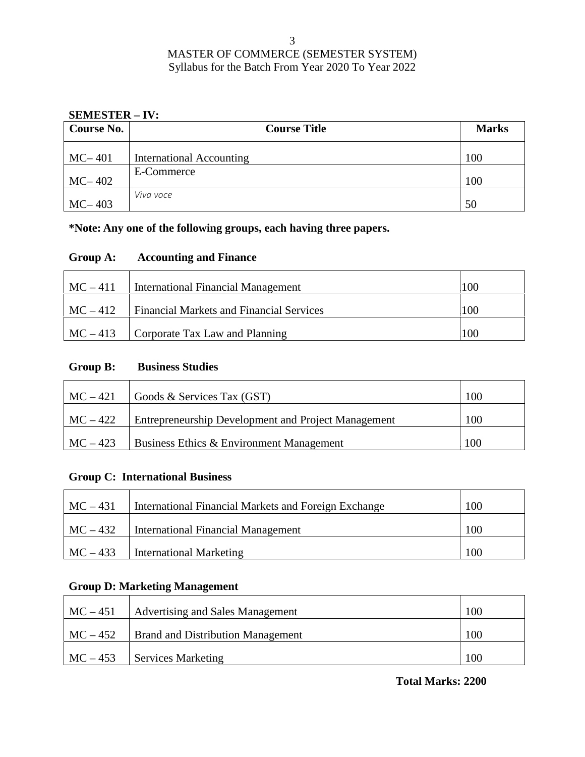## **SEMESTER – IV:**

| Course No. | <b>Course Title</b>      | <b>Marks</b> |
|------------|--------------------------|--------------|
| $MC-401$   | International Accounting | 100          |
| $MC-402$   | E-Commerce               | 100          |
| $MC-403$   | Viva voce                | 50           |

**\*Note: Any one of the following groups, each having three papers.**

# **Group A: Accounting and Finance**

| $MC-411$ | <b>International Financial Management</b>       | 100 |
|----------|-------------------------------------------------|-----|
| $MC-412$ | <b>Financial Markets and Financial Services</b> | 100 |
| $MC-413$ | Corporate Tax Law and Planning                  | 100 |

# **Group B: Business Studies**

| $MC-421$   | Goods & Services Tax (GST)                                 | 100 |
|------------|------------------------------------------------------------|-----|
| $MC-422$   | <b>Entrepreneurship Development and Project Management</b> | 100 |
| $MC - 423$ | Business Ethics & Environment Management                   | 100 |

# **Group C: International Business**

| $MC - 431$ | International Financial Markets and Foreign Exchange | 100 |
|------------|------------------------------------------------------|-----|
| $MC - 432$ | <b>International Financial Management</b>            | 100 |
| $MC - 433$ | <b>International Marketing</b>                       | 100 |

# **Group D: Marketing Management**

| $MC - 451$ | Advertising and Sales Management         | 100 |
|------------|------------------------------------------|-----|
| $MC - 452$ | <b>Brand and Distribution Management</b> | 100 |
| $MC - 453$ | <b>Services Marketing</b>                | 100 |

**Total Marks: 2200**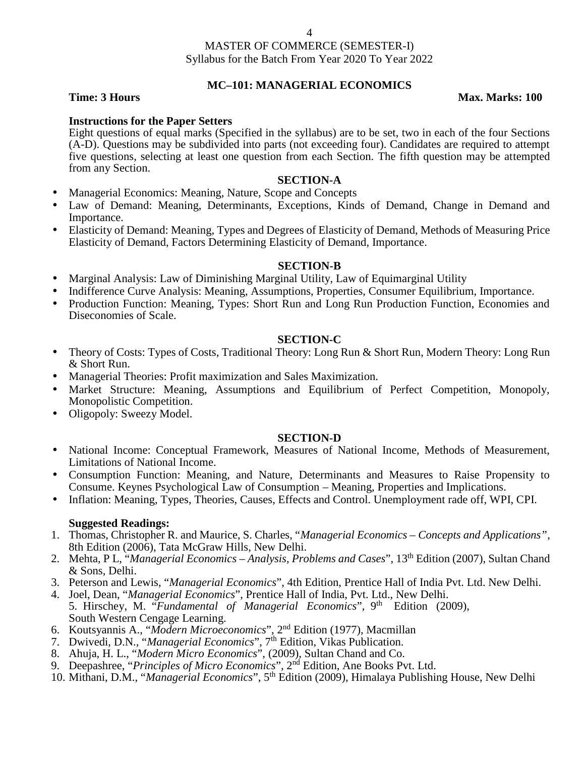### **MC–101: MANAGERIAL ECONOMICS**

**Time: 3 Hours Max. Marks: 100** 

## **Instructions for the Paper Setters**

Eight questions of equal marks (Specified in the syllabus) are to be set, two in each of the four Sections (A-D). Questions may be subdivided into parts (not exceeding four). Candidates are required to attempt five questions, selecting at least one question from each Section. The fifth question may be attempted from any Section.

#### **SECTION-A**

- Managerial Economics: Meaning, Nature, Scope and Concepts
- Law of Demand: Meaning, Determinants, Exceptions, Kinds of Demand, Change in Demand and Importance.
- Elasticity of Demand: Meaning, Types and Degrees of Elasticity of Demand, Methods of Measuring Price Elasticity of Demand, Factors Determining Elasticity of Demand, Importance.

#### **SECTION-B**

- Marginal Analysis: Law of Diminishing Marginal Utility, Law of Equimarginal Utility
- Indifference Curve Analysis: Meaning, Assumptions, Properties, Consumer Equilibrium, Importance.
- Production Function: Meaning, Types: Short Run and Long Run Production Function, Economies and Diseconomies of Scale.

#### **SECTION-C**

- Theory of Costs: Types of Costs, Traditional Theory: Long Run & Short Run, Modern Theory: Long Run & Short Run.
- Managerial Theories: Profit maximization and Sales Maximization.
- Market Structure: Meaning, Assumptions and Equilibrium of Perfect Competition, Monopoly, Monopolistic Competition.
- Oligopoly: Sweezy Model.

#### **SECTION-D**

- National Income: Conceptual Framework, Measures of National Income, Methods of Measurement, Limitations of National Income.
- Consumption Function: Meaning, and Nature, Determinants and Measures to Raise Propensity to Consume. Keynes Psychological Law of Consumption – Meaning, Properties and Implications.
- Inflation: Meaning, Types, Theories, Causes, Effects and Control. Unemployment rade off, WPI, CPI.

- 1. Thomas, Christopher R. and Maurice, S. Charles, "*Managerial Economics – Concepts and Applications"*, 8th Edition (2006), Tata McGraw Hills, New Delhi.
- 2. Mehta, P L, "*Managerial Economics – Analysis, Problems and Cases*", 13th Edition (2007), Sultan Chand & Sons, Delhi.
- 3. Peterson and Lewis, "*Managerial Economics*", 4th Edition, Prentice Hall of India Pvt. Ltd. New Delhi.
- 4. Joel, Dean, "*Managerial Economics*", Prentice Hall of India, Pvt. Ltd., New Delhi. 5. Hirschey, M. "Fundamental of Managerial Economics", 9<sup>th</sup> Edition (2009), South Western Cengage Learning.
- 6. Koutsyannis A., "*Modern Microeconomics*", 2nd Edition (1977), Macmillan
- 7. Dwivedi, D.N., "*Managerial Economics*", 7th Edition, Vikas Publication.
- 8. Ahuja, H. L., "*Modern Micro Economics*", (2009), Sultan Chand and Co.
- 9. Deepashree, "*Principles of Micro Economics*", 2nd Edition, Ane Books Pvt. Ltd.
- 10. Mithani, D.M., "*Managerial Economics*", 5th Edition (2009), Himalaya Publishing House, New Delhi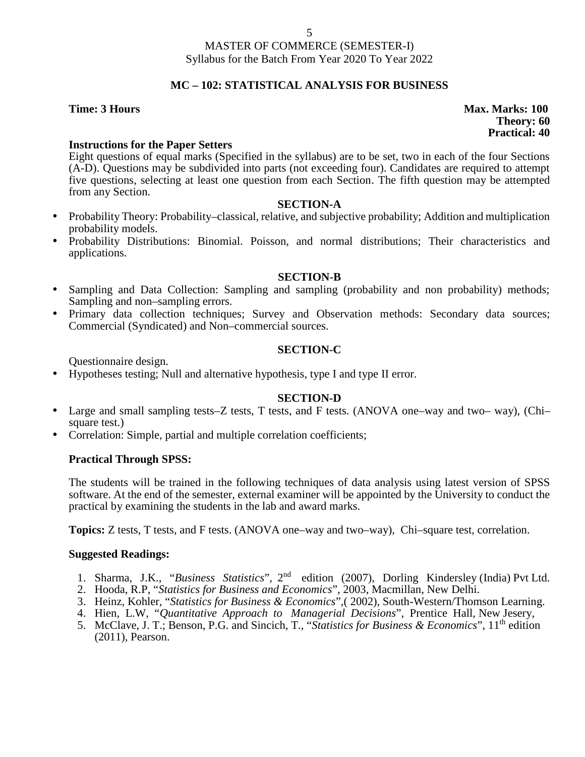# **MC – 102:STATISTICAL ANALYSIS FOR BUSINESS**

**Time: 3 Hours Max. Marks: 100 Theory: 60 Practical: 40**

# **Instructions for the Paper Setters**

Eight questions of equal marks (Specified in the syllabus) are to be set, two in each of the four Sections (A-D). Questions may be subdivided into parts (not exceeding four). Candidates are required to attempt five questions, selecting at least one question from each Section. The fifth question may be attempted from any Section.

### **SECTION-A**

- Probability Theory: Probability–classical, relative, and subjective probability; Addition and multiplication probability models.
- Probability Distributions: Binomial. Poisson, and normal distributions; Their characteristics and applications.

### **SECTION-B**

- Sampling and Data Collection: Sampling and sampling (probability and non probability) methods; Sampling and non–sampling errors.
- Primary data collection techniques; Survey and Observation methods: Secondary data sources; Commercial (Syndicated) and Non–commercial sources.

# **SECTION-C**

Questionnaire design.

Hypotheses testing; Null and alternative hypothesis, type I and type II error.

#### **SECTION-D**

- Large and small sampling tests–Z tests, T tests, and F tests. (ANOVA one–way and two– way), (Chi– square test.)
- Correlation: Simple, partial and multiple correlation coefficients;

# **Practical Through SPSS:**

The students will be trained in the following techniques of data analysis using latest version of SPSS software. At the end of the semester, external examiner will be appointed by the University to conduct the practical by examining the students in the lab and award marks.

**Topics:** Z tests, T tests, and F tests. (ANOVA one–way and two–way), Chi–square test, correlation.

- 1. Sharma, J.K., "*Business Statistics*", 2nd edition (2007), Dorling Kindersley (India) Pvt Ltd.
- 2. Hooda, R.P, "*Statistics for Business and Economics*", 2003, Macmillan, New Delhi.
- 3. Heinz, Kohler, "*Statistics for Business & Economics*",( 2002), South-Western/Thomson Learning.
- 4. Hien, L.W, "*Quantitative Approach to Managerial Decisions*", Prentice Hall, New Jesery,
- 5. McClave, J. T.; Benson, P.G. and Sincich, T., "*Statistics for Business & Economics*", 11th edition (2011), Pearson.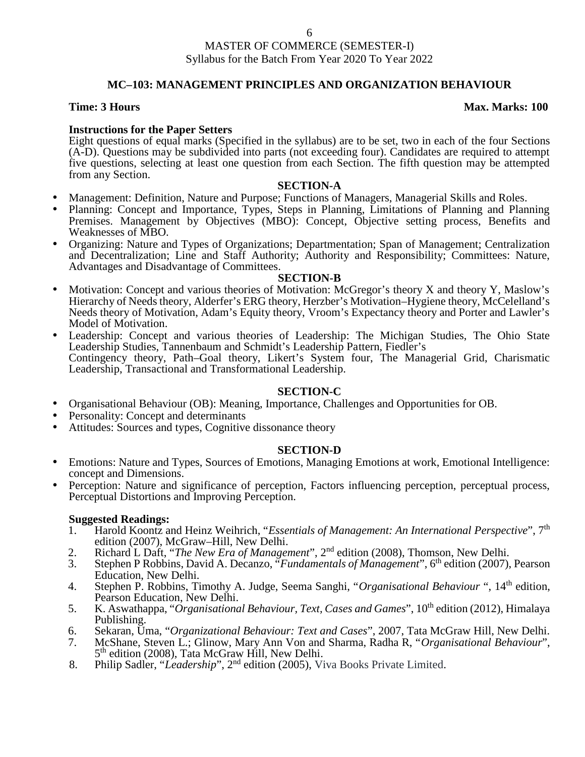# **MC–103: MANAGEMENT PRINCIPLES AND ORGANIZATION BEHAVIOUR**

### **Time: 3 Hours Max. Marks: 100**

## **Instructions for the Paper Setters**

Eight questions of equal marks (Specified in the syllabus) are to be set, two in each of the four Sections (A-D). Questions may be subdivided into parts (not exceeding four). Candidates are required to attempt five questions, selecting at least one question from each Section. The fifth question may be attempted from any Section.

#### **SECTION-A**

- Management: Definition, Nature and Purpose; Functions of Managers, Managerial Skills and Roles.
- Planning: Concept and Importance, Types, Steps in Planning, Limitations of Planning and Planning Premises. Management by Objectives (MBO): Concept, Objective setting process, Benefits and Weaknesses of MBO.
- Organizing: Nature and Types of Organizations; Departmentation; Span of Management; Centralization and Decentralization; Line and Staff Authority; Authority and Responsibility; Committees: Nature, Advantages and Disadvantage of Committees.

#### **SECTION-B**

- Motivation: Concept and various theories of Motivation: McGregor's theory X and theory Y, Maslow's Hierarchy of Needs theory, Alderfer's ERG theory, Herzber's Motivation–Hygiene theory, McCelelland's Needs theory of Motivation, Adam's Equity theory, Vroom's Expectancy theory and Porter and Lawler's Model of Motivation.
- Leadership: Concept and various theories of Leadership: The Michigan Studies, The Ohio State Leadership Studies, Tannenbaum and Schmidt's Leadership Pattern, Fiedler's Contingency theory, Path–Goal theory, Likert's System four, The Managerial Grid, Charismatic Leadership, Transactional and Transformational Leadership.

#### **SECTION-C**

- Organisational Behaviour (OB): Meaning, Importance, Challenges and Opportunities for OB.
- 
- Attitudes: Sources and types, Cognitive dissonance theory

#### **SECTION-D**

- Emotions: Nature and Types, Sources of Emotions, Managing Emotions at work, Emotional Intelligence: concept and Dimensions.
- Perception: Nature and significance of perception, Factors influencing perception, perceptual process, Perceptual Distortions and Improving Perception.

- 1. Harold Koontz and Heinz Weihrich, "*Essentials of Management: An International Perspective*", 7th edition (2007), McGraw–Hill, New Delhi.
- 2. Richard L Daft, "*The New Era of Management*", 2<sup>nd</sup> edition (2008), Thomson, New Delhi.<br>3. Stephen P Robbins, David A. Decanzo, "*Fundamentals of Management*", 6<sup>th</sup> edition (2007).
- 3. Stephen P Robbins, David A. Decanzo, "*Fundamentals of Management*", 6th edition (2007), Pearson Education, New Delhi.
- 4. Stephen P. Robbins, Timothy A. Judge, Seema Sanghi, "*Organisational Behaviour*", 14<sup>th</sup> edition, Pearson Education, New Delhi.
- 5. K. Aswathappa, "*Organisational Behaviour, Text, Cases and Games*", 10<sup>th</sup> edition (2012), Himalaya Publishing.
- 6. Sekaran, Uma, "*Organizational Behaviour: Text and Cases*", 2007, Tata McGraw Hill, New Delhi.
- 7. McShane, Steven L.; Glinow, Mary Ann Von and Sharma, Radha R, "*Organisational Behaviour*", 5 th edition (2008), Tata McGraw Hill, New Delhi.
- 8. Philip Sadler, "*Leadership*", 2nd edition (2005), Viva Books Private Limited.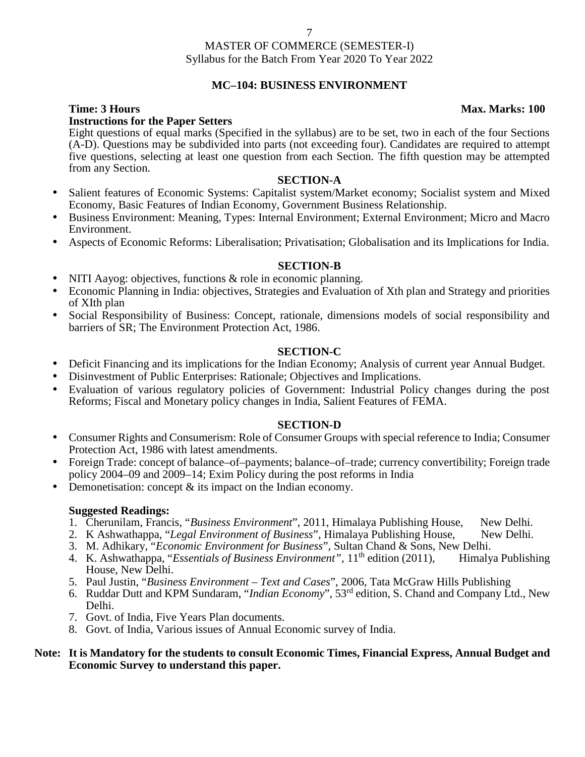# **MC–104: BUSINESS ENVIRONMENT**

### **Time: 3 Hours Max. Marks: 100 Instructions for the Paper Setters**

Eight questions of equal marks (Specified in the syllabus) are to be set, two in each of the four Sections (A-D). Questions may be subdivided into parts (not exceeding four). Candidates are required to attempt five questions, selecting at least one question from each Section. The fifth question may be attempted from any Section.

#### **SECTION-A**

- Salient features of Economic Systems: Capitalist system/Market economy; Socialist system and Mixed Economy, Basic Features of Indian Economy, Government Business Relationship.
- Business Environment: Meaning, Types: Internal Environment; External Environment; Micro and Macro Environment.
- Aspects of Economic Reforms: Liberalisation; Privatisation; Globalisation and its Implications for India.

#### **SECTION-B**

- NITI Aayog: objectives, functions & role in economic planning.
- Economic Planning in India: objectives, Strategies and Evaluation of Xth plan and Strategy and priorities of XIth plan
- Social Responsibility of Business: Concept, rationale, dimensions models of social responsibility and barriers of SR; The Environment Protection Act, 1986.

### **SECTION-C**

- Deficit Financing and its implications for the Indian Economy; Analysis of current year Annual Budget.
- Disinvestment of Public Enterprises: Rationale; Objectives and Implications.
- Evaluation of various regulatory policies of Government: Industrial Policy changes during the post Reforms; Fiscal and Monetary policy changes in India, Salient Features of FEMA.

#### **SECTION-D**

- Consumer Rights and Consumerism: Role of Consumer Groups with special reference to India; Consumer Protection Act, 1986 with latest amendments.
- Foreign Trade: concept of balance–of–payments; balance–of–trade; currency convertibility; Foreign trade policy 2004–09 and 2009–14; Exim Policy during the post reforms in India
- Demonetisation: concept & its impact on the Indian economy.

#### **Suggested Readings:**

- 1. Cherunilam, Francis, "*Business Environment*", 2011, Himalaya Publishing House, New Delhi.
- 2. K Ashwathappa, "Legal Environment of Business", Himalaya Publishing House, New Delhi.
- 3. M. Adhikary, "*Economic Environment for Business*", Sultan Chand & Sons, New Delhi.
- 4. K. Ashwathappa, "*Essentials of Business Environment*", 11<sup>th</sup> edition (2011), Himalya Publishing House, New Delhi.
- 5. Paul Justin, "*Business Environment – Text and Cases*", 2006, Tata McGraw Hills Publishing
- 6. Ruddar Dutt and KPM Sundaram, "*Indian Economy*", 53rd edition, S. Chand and Company Ltd., New Delhi.
- 7. Govt. of India, Five Years Plan documents.
- 8. Govt. of India, Various issues of Annual Economic survey of India.

### **Note: It is Mandatory for the students to consult Economic Times, Financial Express, Annual Budget and Economic Survey to understand this paper.**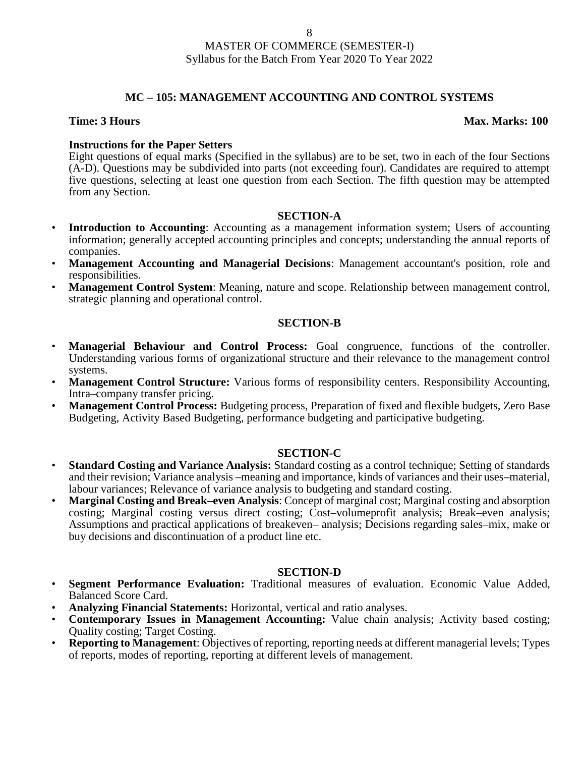# **MC – 105: MANAGEMENT ACCOUNTING AND CONTROL SYSTEMS**

#### **Time: 3 Hours Max. Marks: 100**

# **Instructions for the Paper Setters**

Eight questions of equal marks (Specified in the syllabus) are to be set, two in each of the four Sections (A-D). Questions may be subdivided into parts (not exceeding four). Candidates are required to attempt five questions, selecting at least one question from each Section. The fifth question may be attempted from any Section.

### **SECTION-A**

- **Introduction to Accounting:** Accounting as a management information system; Users of accounting information; generally accepted accounting principles and concepts; understanding the annual reports of companies.
- **Management Accounting and Managerial Decisions**: Management accountant's position, role and responsibilities.
- **Management Control System**: Meaning, nature and scope. Relationship between management control, strategic planning and operational control.

# **SECTION-B**

- **Managerial Behaviour and Control Process:** Goal congruence, functions of the controller. Understanding various forms of organizational structure and their relevance to the management control systems.
- **Management Control Structure:** Various forms of responsibility centers. Responsibility Accounting, Intra–company transfer pricing.
- **Management Control Process:** Budgeting process, Preparation of fixed and flexible budgets, Zero Base Budgeting, Activity Based Budgeting, performance budgeting and participative budgeting.

# **SECTION-C**

- **Standard Costing and Variance Analysis:** Standard costing as a control technique; Setting of standards and their revision; Variance analysis –meaning and importance, kinds of variances and their uses–material, labour variances; Relevance of variance analysis to budgeting and standard costing.
- **Marginal Costing and Break–even Analysis**: Concept of marginal cost; Marginal costing and absorption costing; Marginal costing versus direct costing; Cost–volumeprofit analysis; Break–even analysis; Assumptions and practical applications of breakeven– analysis; Decisions regarding sales–mix, make or buy decisions and discontinuation of a product line etc.

# **SECTION-D**

- **Segment Performance Evaluation:** Traditional measures of evaluation. Economic Value Added, Balanced Score Card.
- **Analyzing Financial Statements:** Horizontal, vertical and ratio analyses.
- **Contemporary Issues in Management Accounting:** Value chain analysis; Activity based costing; Quality costing; Target Costing.
- **Reporting to Management**: Objectives of reporting, reporting needs at different managerial levels; Types of reports, modes of reporting, reporting at different levels of management.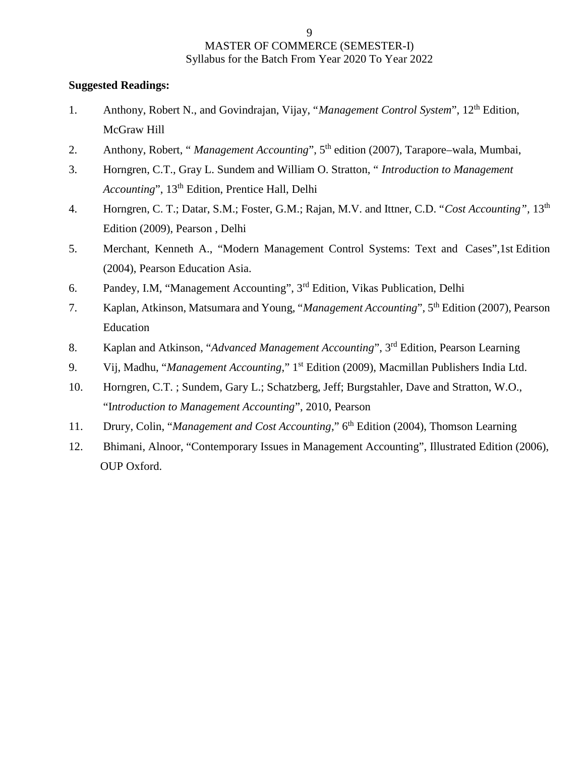- 1. Anthony, Robert N., and Govindrajan, Vijay, "*Management Control System*", 12th Edition, McGraw Hill
- 2. Anthony, Robert, " *Management Accounting*", 5th edition (2007), Tarapore–wala, Mumbai,
- 3. Horngren, C.T., Gray L. Sundem and William O. Stratton, " *Introduction to Management Accounting*", 13<sup>th</sup> Edition, Prentice Hall, Delhi
- 4. Horngren, C. T.; Datar, S.M.; Foster, G.M.; Rajan, M.V. and Ittner, C.D. "*Cost Accounting",* 13th Edition (2009), Pearson , Delhi
- 5. Merchant, Kenneth A., "Modern Management Control Systems: Text and Cases",1st Edition (2004), Pearson Education Asia.
- 6. Pandey, I.M, "Management Accounting", 3rd Edition, Vikas Publication, Delhi
- 7. Kaplan, Atkinson, Matsumara and Young, "*Management Accounting*", 5th Edition (2007), Pearson Education
- 8. Kaplan and Atkinson, "*Advanced Management Accounting*", 3rd Edition, Pearson Learning
- 9. Vij, Madhu, "*Management Accounting*," 1st Edition (2009), Macmillan Publishers India Ltd.
- 10. Horngren, C.T. ; Sundem, Gary L.; Schatzberg, Jeff; Burgstahler, Dave and Stratton, W.O., "I*ntroduction to Management Accounting*", 2010, Pearson
- 11. Drury, Colin, "*Management and Cost Accounting*," 6th Edition (2004), Thomson Learning
- 12. Bhimani, Alnoor, "Contemporary Issues in Management Accounting", Illustrated Edition (2006), OUP Oxford.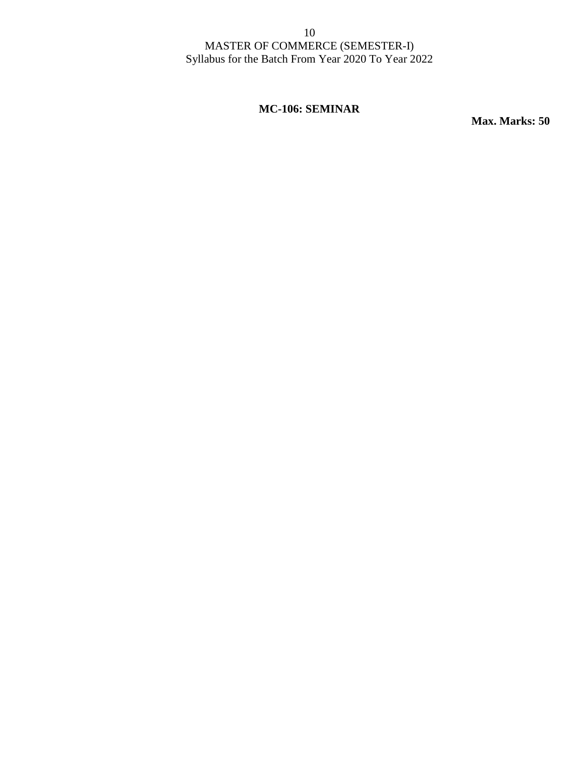# **MC-106: SEMINAR**

**Max. Marks: 50**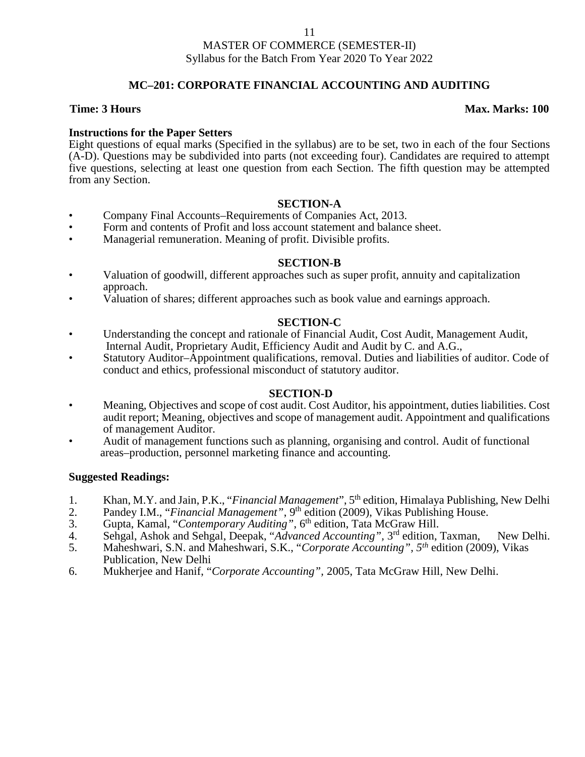#### 11

### MASTER OF COMMERCE (SEMESTER-II) Syllabus for the Batch From Year 2020 To Year 2022

# **MC–201: CORPORATE FINANCIAL ACCOUNTING AND AUDITING**

# **Time: 3 Hours Max. Marks: 100**

# **Instructions for the Paper Setters**

Eight questions of equal marks (Specified in the syllabus) are to be set, two in each of the four Sections (A-D). Questions may be subdivided into parts (not exceeding four). Candidates are required to attempt five questions, selecting at least one question from each Section. The fifth question may be attempted from any Section.

### **SECTION-A**

- Company Final Accounts–Requirements of Companies Act, 2013.
- Form and contents of Profit and loss account statement and balance sheet.
- Managerial remuneration. Meaning of profit. Divisible profits.

### **SECTION-B**

- Valuation of goodwill, different approaches such as super profit, annuity and capitalization approach.
- Valuation of shares; different approaches such as book value and earnings approach.

### **SECTION-C**

- Understanding the concept and rationale of Financial Audit, Cost Audit, Management Audit, Internal Audit, Proprietary Audit, Efficiency Audit and Audit by C. and A.G.,
- Statutory Auditor–Appointment qualifications, removal. Duties and liabilities of auditor. Code of conduct and ethics, professional misconduct of statutory auditor.

#### **SECTION-D**

- Meaning, Objectives and scope of cost audit. Cost Auditor, his appointment, duties liabilities. Cost audit report; Meaning, objectives and scope of management audit. Appointment and qualifications of management Auditor.
- Audit of management functions such as planning, organising and control. Audit of functional areas–production, personnel marketing finance and accounting.

- 1. Khan, M.Y. and Jain, P.K., "*Financial Management*", 5th edition, Himalaya Publishing, New Delhi
- 2. Pandey I.M., "*Financial Management*", 9<sup>th</sup> edition (2009), Vikas Publishing House.<br>3. Gupta, Kamal. "*Contemporary Auditing*", 6<sup>th</sup> edition. Tata McGraw Hill.
- 3. Gupta, Kamal, "*Contemporary Auditing*", 6<sup>th</sup> edition, Tata McGraw Hill.<br>4. Sehgal, Ashok and Sehgal, Deepak, "*Advanced Accounting*", 3<sup>rd</sup> edition,
- 4. Sehgal, Ashok and Sehgal, Deepak, "*Advanced Accounting",* 3 rd edition, Taxman, New Delhi.
- 5. Maheshwari, S.N. and Maheshwari, S.K., "*Corporate Accounting", 5th* edition (2009), Vikas Publication, New Delhi
- 6. Mukherjee and Hanif, "*Corporate Accounting",* 2005, Tata McGraw Hill, New Delhi.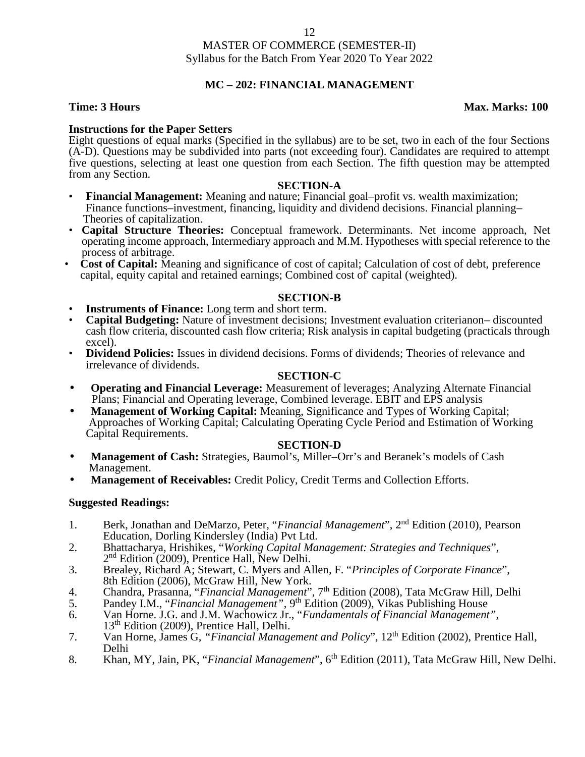# **MC – 202: FINANCIAL MANAGEMENT**

## **Time: 3 Hours Max.** Marks: 100

# **Instructions for the Paper Setters**

Eight questions of equal marks (Specified in the syllabus) are to be set, two in each of the four Sections (A-D). Questions may be subdivided into parts (not exceeding four). Candidates are required to attempt five questions, selecting at least one question from each Section. The fifth question may be attempted from any Section.

#### **SECTION-A**

- **Financial Management:** Meaning and nature; Financial goal–profit vs. wealth maximization; Finance functions–investment, financing, liquidity and dividend decisions. Financial planning– Financies of capitalization.<br>• **Capital Structure Theories:** Conceptual framework. Determinants. Net income approach, Net
- operating income approach, Intermediary approach and M.M. Hypotheses with special reference to the
- Cost of Capital: Meaning and significance of cost of capital; Calculation of cost of debt, preference capital, equity capital and retained earnings; Combined cost of' capital (weighted).

- **SECTION-B**<br>Instruments of Finance: Long term and short term.
- **Capital Budgeting:** Nature of investment decisions; Investment evaluation criterianon– discounted cash flow criteria, discounted cash flow criteria; Risk analysis in capital budgeting (practicals through excel). • **Dividend Policies:** Issues in dividend decisions. Forms of dividends; Theories of relevance and
- irrelevance of dividends.

#### **SECTION-C**

- **Operating and Financial Leverage:** Measurement of leverages; Analyzing Alternate Financial Plans; Financial and Operating leverage, Combined leverage. EBIT and EPS analysis
- **Management of Working Capital:** Meaning, Significance and Types of Working Capital; Approaches of Working Capital; Calculating Operating Cycle Period and Estimation of Working Capital Requirements.

#### **SECTION-D**

- **Management of Cash:** Strategies, Baumol's, Miller–Orr's and Beranek's models of Cash Management.
- **Management of Receivables:** Credit Policy, Credit Terms and Collection Efforts.

- 1. Berk, Jonathan and DeMarzo, Peter, "*Financial Management*", 2nd Edition (2010), Pearson Education, Dorling Kindersley (India) Pvt Ltd.
- 2. Bhattacharya, Hrishikes, "*Working Capital Management: Strategies and Techniques*", 2<sup>nd</sup> Edition (2009), Prentice Hall, New Delhi.
- 3. Brealey, Richard A; Stewart, C. Myers and Allen, F. "*Principles of Corporate Finance*", 8th Edition (2006), McGraw Hill, New York.
- 4. Chandra, Prasanna, "*Financial Management*", 7th Edition (2008), Tata McGraw Hill, Delhi
- 5. Pandey I.M., "*Financial Management*", 9<sup>th</sup> Edition (2009), Vikas Publishing House
- 6. Van Horne. J.G. and J.M. Wachowicz Jr., "*Fundamentals of Financial Management",* 13<sup>th</sup> Edition (2009), Prentice Hall, Delhi.
- 7. Van Horne, James G, *"Financial Management and Policy*", 12th Edition (2002), Prentice Hall, Delhi
- 8. Khan, MY, Jain, PK, "*Financial Management*", 6<sup>th</sup> Edition (2011), Tata McGraw Hill, New Delhi.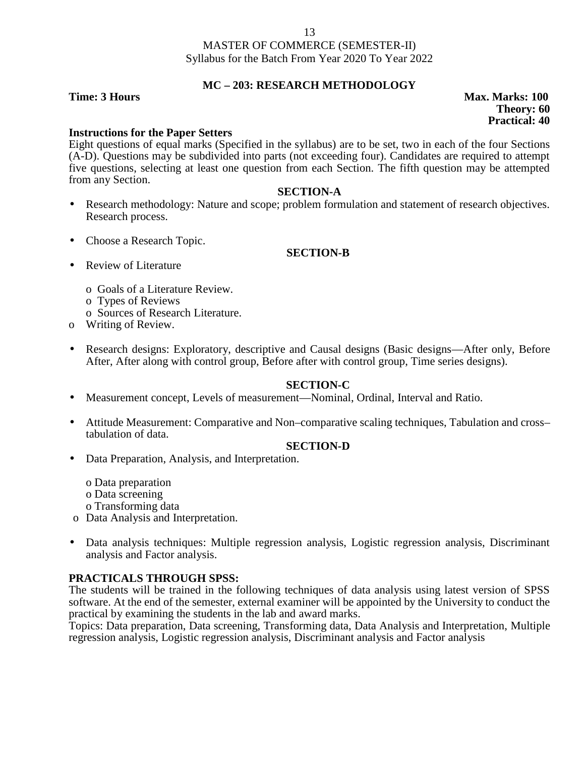#### 13

# MASTER OF COMMERCE (SEMESTER-II) Syllabus for the Batch From Year 2020 To Year 2022

# **MC – 203: RESEARCH METHODOLOGY**

**Instructions for the Paper Setters**

Eight questions of equal marks (Specified in the syllabus) are to be set, two in each of the four Sections (A-D). Questions may be subdivided into parts (not exceeding four). Candidates are required to attempt five questions, selecting at least one question from each Section. The fifth question may be attempted from any Section.

### **SECTION-A**

- Research methodology: Nature and scope; problem formulation and statement of research objectives. Research process.
- Choose a Research Topic.

# **SECTION-B**

- Review of Literature
	- o Goals of a Literature Review.
	- o Types of Reviews
	- o Sources of Research Literature.
- o Writing of Review.
- Research designs: Exploratory, descriptive and Causal designs (Basic designs—After only, Before After, After along with control group, Before after with control group, Time series designs).

# **SECTION-C**

- Measurement concept, Levels of measurement—Nominal, Ordinal, Interval and Ratio.
- Attitude Measurement: Comparative and Non–comparative scaling techniques, Tabulation and cross– tabulation of data.

# **SECTION-D**

Data Preparation, Analysis, and Interpretation.

o Data preparation o Data screening o Transforming data

- o Data Analysis and Interpretation.
- Data analysis techniques: Multiple regression analysis, Logistic regression analysis, Discriminant analysis and Factor analysis.

# **PRACTICALS THROUGH SPSS:**

The students will be trained in the following techniques of data analysis using latest version of SPSS software. At the end of the semester, external examiner will be appointed by the University to conduct the practical by examining the students in the lab and award marks.

Topics: Data preparation, Data screening, Transforming data, Data Analysis and Interpretation, Multiple regression analysis, Logistic regression analysis, Discriminant analysis and Factor analysis

**Time: 3 Hours Max. Marks: 100 Theory: 60 Practical: 40**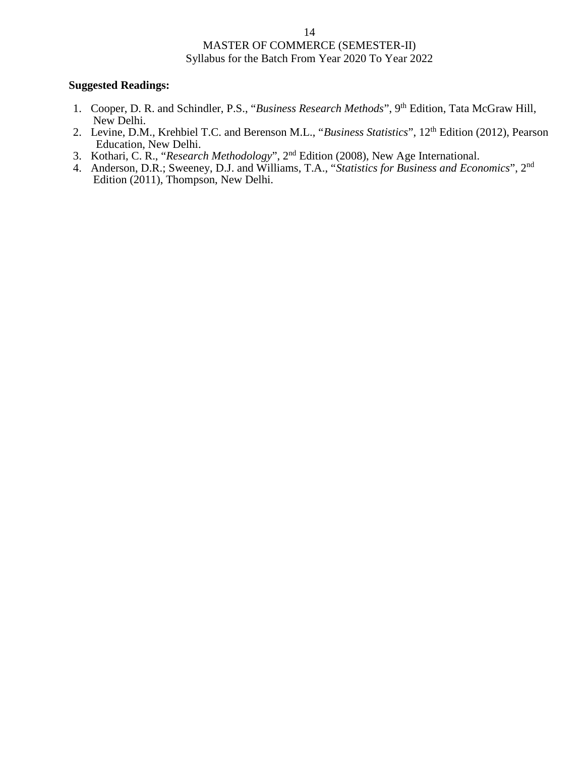- 1. Cooper, D. R. and Schindler, P.S., "*Business Research Methods*", 9th Edition, Tata McGraw Hill, New Delhi.
- 2. Levine, D.M., Krehbiel T.C. and Berenson M.L., "*Business Statistics*", 12th Edition (2012), Pearson Education, New Delhi.
- 3. Kothari, C. R., "*Research Methodology*", 2nd Edition (2008), New Age International.
- 4. Anderson, D.R.; Sweeney, D.J. and Williams, T.A., "*Statistics for Business and Economics*", 2nd Edition (2011), Thompson, New Delhi.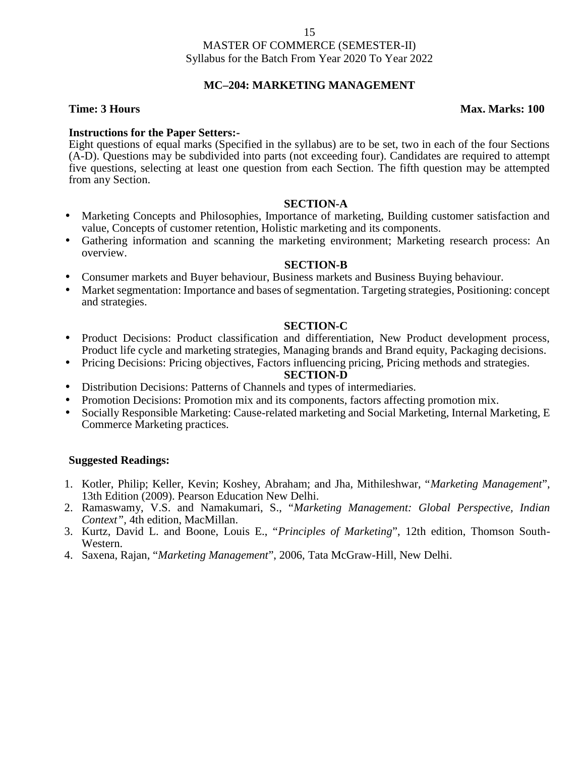# **MC–204: MARKETING MANAGEMENT**

### **Time: 3 Hours Max. Marks: 100**

## **Instructions for the Paper Setters:-**

Eight questions of equal marks (Specified in the syllabus) are to be set, two in each of the four Sections (A-D). Questions may be subdivided into parts (not exceeding four). Candidates are required to attempt five questions, selecting at least one question from each Section. The fifth question may be attempted from any Section.

### **SECTION-A**

- Marketing Concepts and Philosophies, Importance of marketing, Building customer satisfaction and value, Concepts of customer retention, Holistic marketing and its components.
- Gathering information and scanning the marketing environment; Marketing research process: An overview.

### **SECTION-B**

- Consumer markets and Buyer behaviour, Business markets and Business Buying behaviour.
- Market segmentation: Importance and bases of segmentation. Targeting strategies, Positioning: concept and strategies.

### **SECTION-C**

- Product Decisions: Product classification and differentiation, New Product development process, Product life cycle and marketing strategies, Managing brands and Brand equity, Packaging decisions.
- Pricing Decisions: Pricing objectives, Factors influencing pricing, Pricing methods and strategies.

### **SECTION-D**

- Distribution Decisions: Patterns of Channels and types of intermediaries.
- Promotion Decisions: Promotion mix and its components, factors affecting promotion mix.
- Socially Responsible Marketing: Cause-related marketing and Social Marketing, Internal Marketing, E Commerce Marketing practices.

- 1. Kotler, Philip; Keller, Kevin; Koshey, Abraham; and Jha, Mithileshwar, "*Marketing Management*", 13th Edition (2009). Pearson Education New Delhi.
- 2. Ramaswamy, V.S. and Namakumari, S., "*Marketing Management: Global Perspective, Indian Context",* 4th edition, MacMillan.
- 3. Kurtz, David L. and Boone, Louis E., "*Principles of Marketing*", 12th edition, Thomson South- Western.
- 4. Saxena, Rajan, "*Marketing Management*", 2006, Tata McGraw-Hill, New Delhi.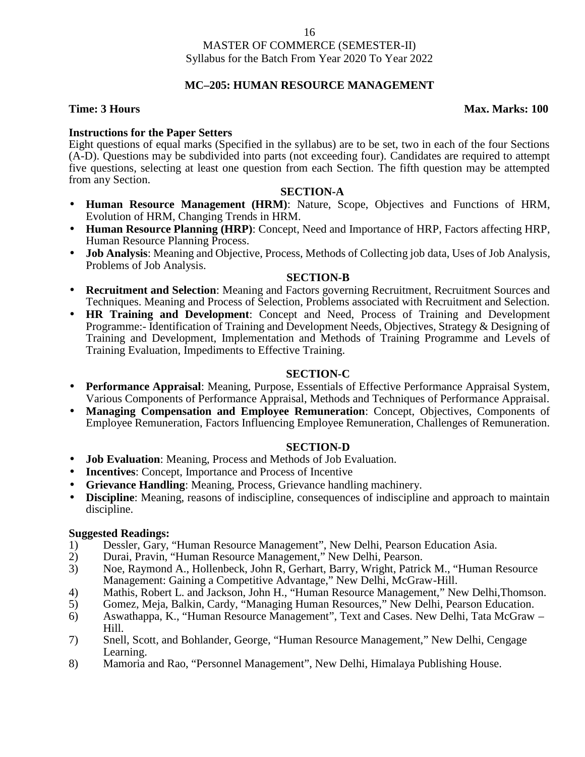# **MC–205: HUMAN RESOURCE MANAGEMENT**

## **Time: 3 Hours Max. Marks: 100**

# **Instructions for the Paper Setters**

Eight questions of equal marks (Specified in the syllabus) are to be set, two in each of the four Sections (A-D). Questions may be subdivided into parts (not exceeding four). Candidates are required to attempt five questions, selecting at least one question from each Section. The fifth question may be attempted from any Section.

# **SECTION-A**

- **Human Resource Management (HRM)**: Nature, Scope, Objectives and Functions of HRM, Evolution of HRM, Changing Trends in HRM.
- **Human Resource Planning (HRP)**: Concept, Need and Importance of HRP, Factors affecting HRP, Human Resource Planning Process.
- **Job Analysis**: Meaning and Objective, Process, Methods of Collecting job data, Uses of Job Analysis, Problems of Job Analysis.

### **SECTION-B**

- **Recruitment and Selection**: Meaning and Factors governing Recruitment, Recruitment Sources and Techniques. Meaning and Process of Selection, Problems associated with Recruitment and Selection.
- **HR Training and Development**: Concept and Need, Process of Training and Development Programme:- Identification of Training and Development Needs, Objectives, Strategy & Designing of Training and Development, Implementation and Methods of Training Programme and Levels of Training Evaluation, Impediments to Effective Training.

## **SECTION-C**

- **Performance Appraisal**: Meaning, Purpose, Essentials of Effective Performance Appraisal System, Various Components of Performance Appraisal, Methods and Techniques of Performance Appraisal.
- **Managing Compensation and Employee Remuneration**: Concept, Objectives, Components of Employee Remuneration, Factors Influencing Employee Remuneration, Challenges of Remuneration.

# **SECTION-D**

- **Job Evaluation**: Meaning, Process and Methods of Job Evaluation.
- **Incentives**: Concept, Importance and Process of Incentive
- **Grievance Handling**: Meaning, Process, Grievance handling machinery.
- **Discipline**: Meaning, reasons of indiscipline, consequences of indiscipline and approach to maintain discipline.

- 1) Dessler, Gary, "Human Resource Management", New Delhi, Pearson Education Asia.<br>2) Durai, Pravin, "Human Resource Management," New Delhi, Pearson.
- 2) Durai, Pravin, "Human Resource Management," New Delhi, Pearson.
- 3) Noe, Raymond A., Hollenbeck, John R, Gerhart, Barry, Wright, Patrick M., "Human Resource Management: Gaining a Competitive Advantage," New Delhi, McGraw-Hill.
- 4) Mathis, Robert L. and Jackson, John H., "Human Resource Management," New Delhi, Thomson.<br>5) Gomez, Meja, Balkin, Cardy, "Managing Human Resources," New Delhi, Pearson Education.
- 5) Gomez, Meja, Balkin, Cardy, "Managing Human Resources," New Delhi, Pearson Education.
- 6) Aswathappa, K., "Human Resource Management", Text and Cases. New Delhi, Tata McGraw Hill.
- 7) Snell, Scott, and Bohlander, George, "Human Resource Management," New Delhi, Cengage Learning.
- 8) Mamoria and Rao, "Personnel Management", New Delhi, Himalaya Publishing House.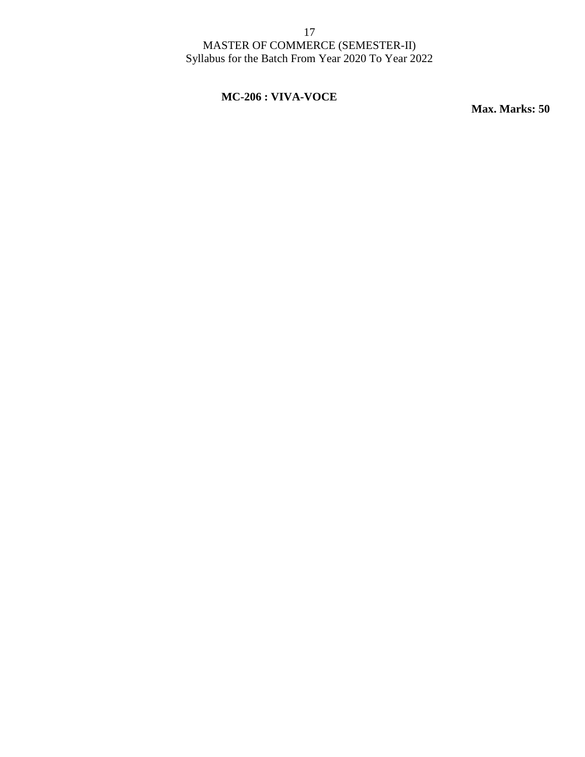# **MC-206 : VIVA-VOCE**

**Max. Marks: 50**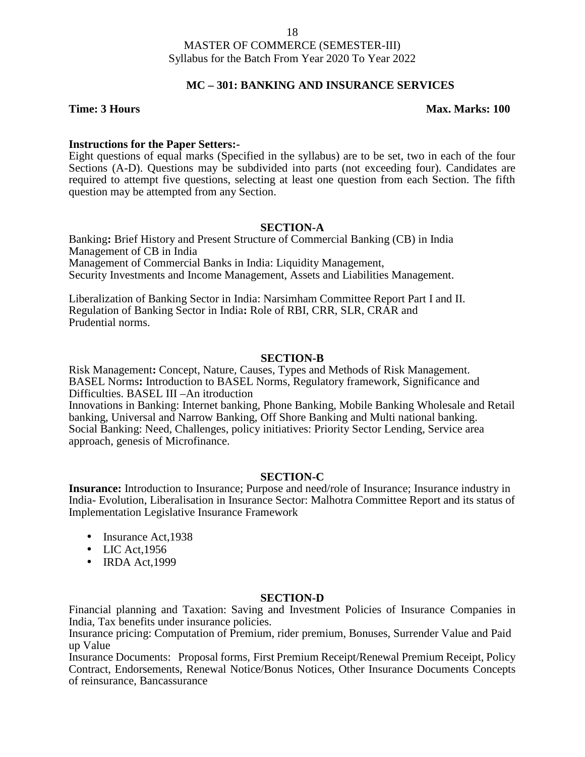# **MC – 301:BANKING AND INSURANCE SERVICES**

#### **Time: 3 Hours Max. Marks: 100**

### **Instructions for the Paper Setters:-**

Eight questions of equal marks (Specified in the syllabus) are to be set, two in each of the four Sections (A-D). Questions may be subdivided into parts (not exceeding four). Candidates are required to attempt five questions, selecting at least one question from each Section. The fifth question may be attempted from any Section.

### **SECTION-A**

Banking**:** Brief History and Present Structure of Commercial Banking (CB) in India Management of CB in India Management of Commercial Banks in India: Liquidity Management, Security Investments and Income Management, Assets and Liabilities Management.

Liberalization of Banking Sector in India: Narsimham Committee Report Part I and II. Regulation of Banking Sector in India**:** Role of RBI, CRR, SLR, CRAR and Prudential norms.

### **SECTION-B**

Risk Management**:** Concept, Nature, Causes, Types and Methods of Risk Management. BASEL Norms**:** Introduction to BASEL Norms, Regulatory framework, Significance and Difficulties. BASEL III –An itroduction Innovations in Banking: Internet banking, Phone Banking, Mobile Banking Wholesale and Retail banking, Universal and Narrow Banking, Off Shore Banking and Multi national banking.

Social Banking: Need, Challenges, policy initiatives: Priority Sector Lending, Service area approach, genesis of Microfinance.

#### **SECTION-C**

**Insurance:** Introduction to Insurance; Purpose and need/role of Insurance; Insurance industry in India- Evolution, Liberalisation in Insurance Sector: Malhotra Committee Report and its status of Implementation Legislative Insurance Framework

- Insurance Act, 1938
- $\bullet$  LIC Act, 1956
- $\bullet$  IRDA Act, 1999

#### **SECTION-D**

Financial planning and Taxation: Saving and Investment Policies of Insurance Companies in India, Tax benefits under insurance policies.

Insurance pricing: Computation of Premium, rider premium, Bonuses, Surrender Value and Paid up Value

Insurance Documents: Proposal forms, First Premium Receipt/Renewal Premium Receipt, Policy Contract, Endorsements, Renewal Notice/Bonus Notices, Other Insurance Documents Concepts of reinsurance, Bancassurance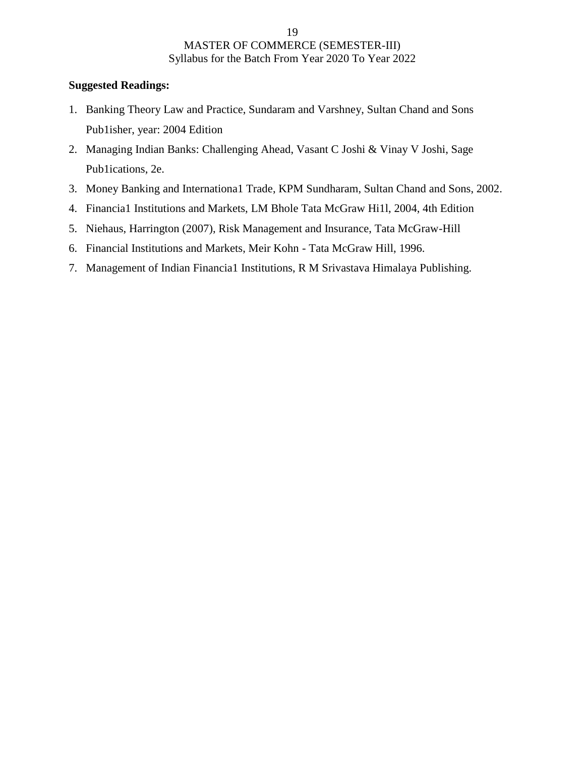- 1. Banking Theory Law and Practice, Sundaram and Varshney, Sultan Chand and Sons Pub1isher, year: 2004 Edition
- 2. Managing Indian Banks: Challenging Ahead, Vasant C Joshi & Vinay V Joshi, Sage Pub1ications, 2e.
- 3. Money Banking and Internationa1 Trade, KPM Sundharam, Sultan Chand and Sons, 2002.
- 4. Financia1 Institutions and Markets, LM Bhole Tata McGraw Hi1l, 2004, 4th Edition
- 5. Niehaus, Harrington (2007), Risk Management and Insurance, Tata McGraw-Hill
- 6. Financial Institutions and Markets, Meir Kohn Tata McGraw Hill, 1996.
- 7. Management of Indian Financia1 Institutions, R M Srivastava Himalaya Publishing.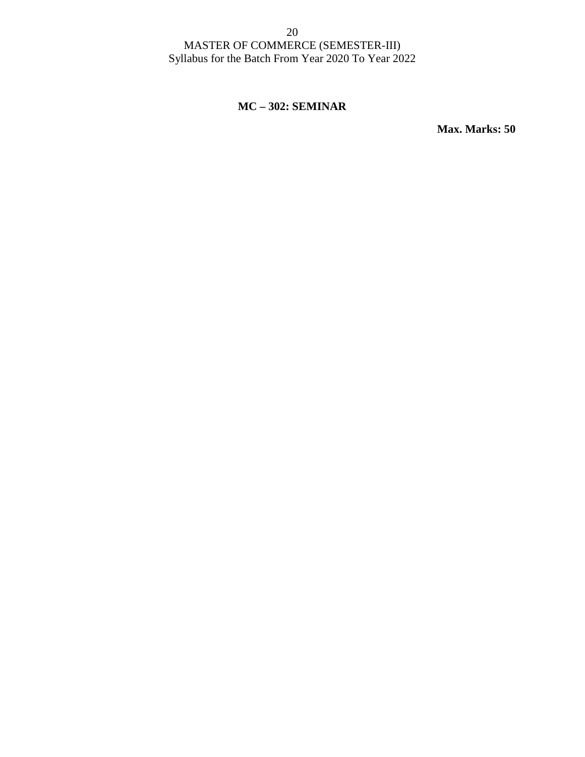# **MC – 302: SEMINAR**

**Max. Marks: 50**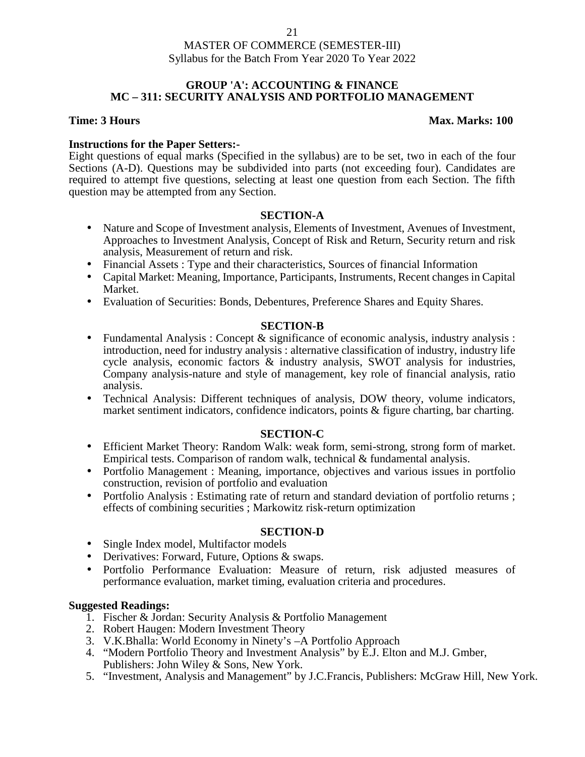## **GROUP 'A': ACCOUNTING & FINANCE MC – 311: SECURITY ANALYSIS AND PORTFOLIO MANAGEMENT**

## **Time: 3 Hours Max. Marks: 100**

# **Instructions for the Paper Setters:-**

Eight questions of equal marks (Specified in the syllabus) are to be set, two in each of the four Sections (A-D). Questions may be subdivided into parts (not exceeding four). Candidates are required to attempt five questions, selecting at least one question from each Section. The fifth question may be attempted from any Section.

# **SECTION-A**

- Nature and Scope of Investment analysis, Elements of Investment, Avenues of Investment, Approaches to Investment Analysis, Concept of Risk and Return, Security return and risk analysis, Measurement of return and risk.
- Financial Assets : Type and their characteristics, Sources of financial Information
- Capital Market: Meaning, Importance, Participants, Instruments, Recent changes in Capital Market.
- Evaluation of Securities: Bonds, Debentures, Preference Shares and Equity Shares.

# **SECTION-B**

- Fundamental Analysis : Concept  $\&$  significance of economic analysis, industry analysis : introduction, need for industry analysis : alternative classification of industry, industry life cycle analysis, economic factors & industry analysis, SWOT analysis for industries, Company analysis-nature and style of management, key role of financial analysis, ratio analysis.
- Technical Analysis: Different techniques of analysis, DOW theory, volume indicators, market sentiment indicators, confidence indicators, points & figure charting, bar charting.

# **SECTION-C**

- Efficient Market Theory: Random Walk: weak form, semi-strong, strong form of market. Empirical tests. Comparison of random walk, technical & fundamental analysis.
- Portfolio Management : Meaning, importance, objectives and various issues in portfolio construction, revision of portfolio and evaluation
- Portfolio Analysis : Estimating rate of return and standard deviation of portfolio returns ; effects of combining securities ; Markowitz risk-return optimization

# **SECTION-D**

- Single Index model, Multifactor models
- Derivatives: Forward, Future, Options & swaps.
- Portfolio Performance Evaluation: Measure of return, risk adjusted measures of performance evaluation, market timing, evaluation criteria and procedures.

- 1. Fischer & Jordan: Security Analysis & Portfolio Management
- 2. Robert Haugen: Modern Investment Theory
- 3. V.K.Bhalla: World Economy in Ninety's –A Portfolio Approach
- 4. "Modern Portfolio Theory and Investment Analysis" by E.J. Elton and M.J. Gmber, Publishers: John Wiley & Sons, New York.
- 5. "Investment, Analysis and Management" by J.C.Francis, Publishers: McGraw Hill, New York.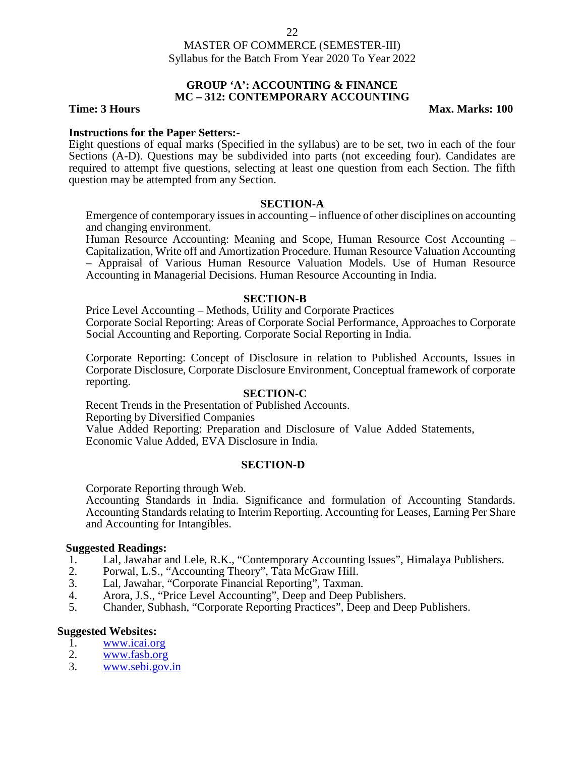# **GROUP 'A': ACCOUNTING & FINANCE MC – 312: CONTEMPORARY ACCOUNTING**

**Time: 3 Hours Max. Marks: 100** 

#### **Instructions for the Paper Setters:-**

Eight questions of equal marks (Specified in the syllabus) are to be set, two in each of the four Sections (A-D). Questions may be subdivided into parts (not exceeding four). Candidates are required to attempt five questions, selecting at least one question from each Section. The fifth question may be attempted from any Section.

#### **SECTION-A**

Emergence of contemporary issues in accounting – influence of other disciplines on accounting and changing environment.

Human Resource Accounting: Meaning and Scope, Human Resource Cost Accounting – Capitalization, Write off and Amortization Procedure. Human Resource Valuation Accounting – Appraisal of Various Human Resource Valuation Models. Use of Human Resource Accounting in Managerial Decisions. Human Resource Accounting in India.

### **SECTION-B**

Price Level Accounting – Methods, Utility and Corporate Practices Corporate Social Reporting: Areas of Corporate Social Performance, Approaches to Corporate Social Accounting and Reporting. Corporate Social Reporting in India.

Corporate Reporting: Concept of Disclosure in relation to Published Accounts, Issues in Corporate Disclosure, Corporate Disclosure Environment, Conceptual framework of corporate reporting.

#### **SECTION-C**

Recent Trends in the Presentation of Published Accounts. Reporting by Diversified Companies Value Added Reporting: Preparation and Disclosure of Value Added Statements, Economic Value Added, EVA Disclosure in India.

# **SECTION-D**

Corporate Reporting through Web.

Accounting Standards in India. Significance and formulation of Accounting Standards. Accounting Standards relating to Interim Reporting. Accounting for Leases, Earning Per Share and Accounting for Intangibles.

#### **Suggested Readings:**

- 1. Lal, Jawahar and Lele, R.K., "Contemporary Accounting Issues", Himalaya Publishers.
- 2. Porwal, L.S., "Accounting Theory", Tata McGraw Hill.<br>3. Lal. Jawahar. "Corporate Financial Reporting". Taxman.
- Lal, Jawahar, "Corporate Financial Reporting", Taxman.
- 4. Arora, J.S., "Price Level Accounting", Deep and Deep Publishers.<br>5. Chander, Subhash. "Corporate Reporting Practices". Deep and Dee
- 5. Chander, Subhash, "Corporate Reporting Practices", Deep and Deep Publishers.

#### **Suggested Websites:**

- 1. www.icai.org
- 2. <u>www.fasb.org</u><br>3. www.sebi.gov.
- www.sebi.gov.in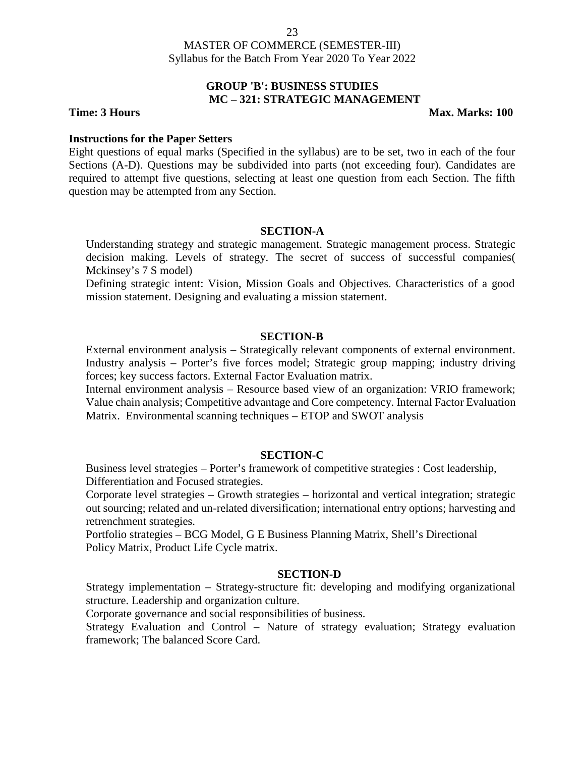# **GROUP 'B': BUSINESS STUDIES MC – 321: STRATEGIC MANAGEMENT**

**Time: 3 Hours Max. Marks: 100** 

## **Instructions for the Paper Setters**

Eight questions of equal marks (Specified in the syllabus) are to be set, two in each of the four Sections (A-D). Questions may be subdivided into parts (not exceeding four). Candidates are required to attempt five questions, selecting at least one question from each Section. The fifth question may be attempted from any Section.

# **SECTION-A**

Understanding strategy and strategic management. Strategic management process. Strategic decision making. Levels of strategy. The secret of success of successful companies( Mckinsey's 7 S model)

Defining strategic intent: Vision, Mission Goals and Objectives. Characteristics of a good mission statement. Designing and evaluating a mission statement.

### **SECTION-B**

External environment analysis – Strategically relevant components of external environment. Industry analysis – Porter's five forces model; Strategic group mapping; industry driving forces; key success factors. External Factor Evaluation matrix.

Internal environment analysis – Resource based view of an organization: VRIO framework; Value chain analysis; Competitive advantage and Core competency. Internal Factor Evaluation Matrix. Environmental scanning techniques – ETOP and SWOT analysis

# **SECTION-C**

Business level strategies – Porter's framework of competitive strategies : Cost leadership, Differentiation and Focused strategies.

Corporate level strategies – Growth strategies – horizontal and vertical integration; strategic out sourcing; related and un-related diversification; international entry options; harvesting and retrenchment strategies.

Portfolio strategies – BCG Model, G E Business Planning Matrix, Shell's Directional Policy Matrix, Product Life Cycle matrix.

### **SECTION-D**

Strategy implementation – Strategy-structure fit: developing and modifying organizational structure. Leadership and organization culture.

Corporate governance and social responsibilities of business.

Strategy Evaluation and Control – Nature of strategy evaluation; Strategy evaluation framework; The balanced Score Card.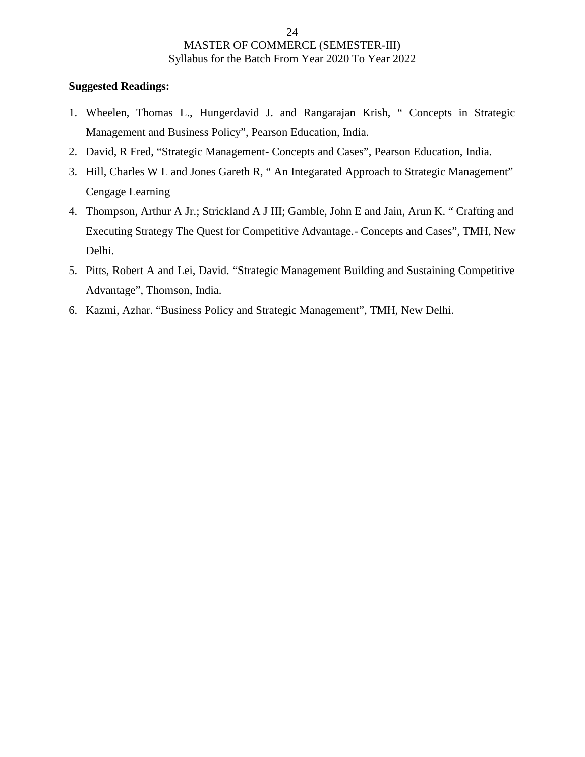- 1. Wheelen, Thomas L., Hungerdavid J. and Rangarajan Krish, " Concepts in Strategic Management and Business Policy", Pearson Education, India.
- 2. David, R Fred, "Strategic Management- Concepts and Cases", Pearson Education, India.
- 3. Hill, Charles W L and Jones Gareth R, " An Integarated Approach to Strategic Management" Cengage Learning
- 4. Thompson, Arthur A Jr.; Strickland A J III; Gamble, John E and Jain, Arun K. " Crafting and Executing Strategy The Quest for Competitive Advantage.- Concepts and Cases", TMH, New Delhi.
- 5. Pitts, Robert A and Lei, David. "Strategic Management Building and Sustaining Competitive Advantage", Thomson, India.
- 6. Kazmi, Azhar. "Business Policy and Strategic Management", TMH, New Delhi.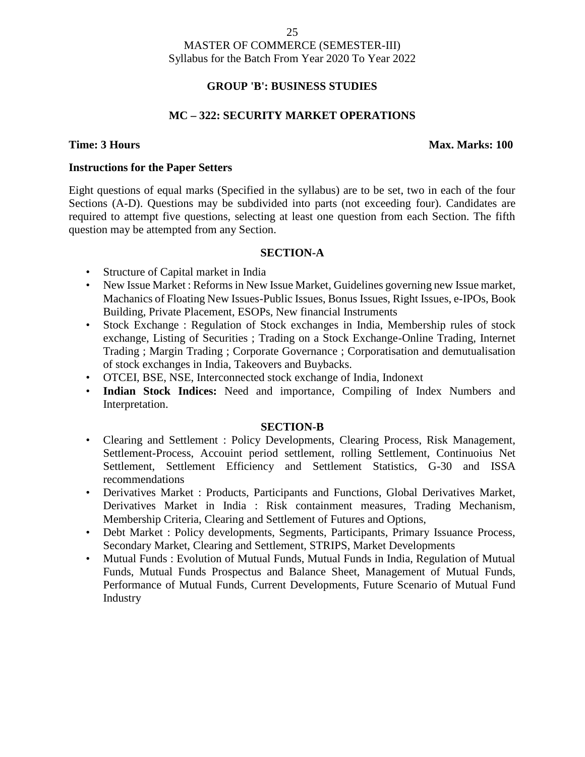# **GROUP 'B': BUSINESS STUDIES**

# **MC – 322: SECURITY MARKET OPERATIONS**

### **Time: 3 Hours Max. Marks: 100**

### **Instructions for the Paper Setters**

Eight questions of equal marks (Specified in the syllabus) are to be set, two in each of the four Sections (A-D). Questions may be subdivided into parts (not exceeding four). Candidates are required to attempt five questions, selecting at least one question from each Section. The fifth question may be attempted from any Section.

### **SECTION-A**

- Structure of Capital market in India
- New Issue Market : Reforms in New Issue Market, Guidelines governing new Issue market, Machanics of Floating New Issues-Public Issues, Bonus Issues, Right Issues, e-IPOs, Book Building, Private Placement, ESOPs, New financial Instruments
- Stock Exchange : Regulation of Stock exchanges in India, Membership rules of stock exchange, Listing of Securities ; Trading on a Stock Exchange-Online Trading, Internet Trading ; Margin Trading ; Corporate Governance ; Corporatisation and demutualisation of stock exchanges in India, Takeovers and Buybacks.
- OTCEI, BSE, NSE, Interconnected stock exchange of India, Indonext
- **Indian Stock Indices:** Need and importance, Compiling of Index Numbers and Interpretation.

# **SECTION-B**

- Clearing and Settlement : Policy Developments, Clearing Process, Risk Management, Settlement-Process, Accouint period settlement, rolling Settlement, Continuoius Net Settlement, Settlement Efficiency and Settlement Statistics, G-30 and ISSA recommendations
- Derivatives Market : Products, Participants and Functions, Global Derivatives Market, Derivatives Market in India : Risk containment measures, Trading Mechanism, Membership Criteria, Clearing and Settlement of Futures and Options,
- Debt Market : Policy developments, Segments, Participants, Primary Issuance Process, Secondary Market, Clearing and Settlement, STRIPS, Market Developments
- Mutual Funds : Evolution of Mutual Funds, Mutual Funds in India, Regulation of Mutual Funds, Mutual Funds Prospectus and Balance Sheet, Management of Mutual Funds, Performance of Mutual Funds, Current Developments, Future Scenario of Mutual Fund Industry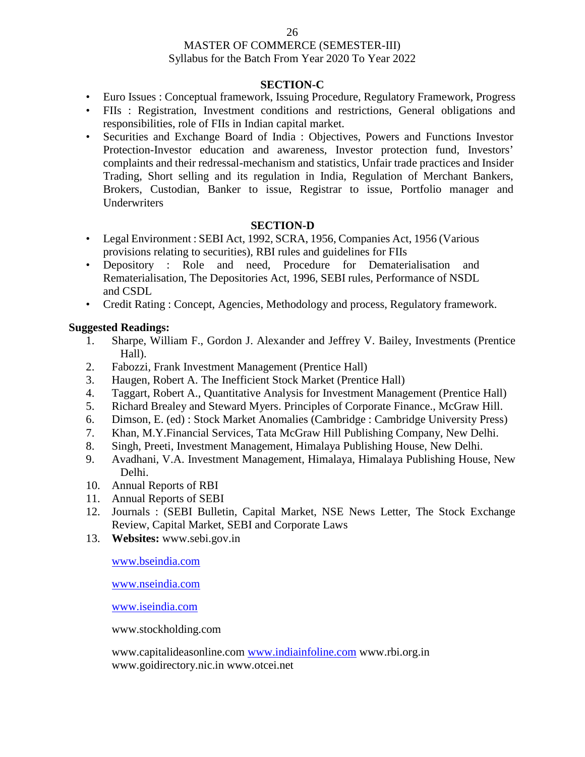### 26

### MASTER OF COMMERCE (SEMESTER-III) Syllabus for the Batch From Year 2020 To Year 2022

# **SECTION-C**

- Euro Issues : Conceptual framework, Issuing Procedure, Regulatory Framework, Progress
- FIIs : Registration, Investment conditions and restrictions, General obligations and responsibilities, role of FIIs in Indian capital market.
- Securities and Exchange Board of India : Objectives, Powers and Functions Investor Protection-Investor education and awareness, Investor protection fund, Investors' complaints and their redressal-mechanism and statistics, Unfair trade practices and Insider Trading, Short selling and its regulation in India, Regulation of Merchant Bankers, Brokers, Custodian, Banker to issue, Registrar to issue, Portfolio manager and Underwriters

# **SECTION-D**

- Legal Environment : SEBI Act, 1992, SCRA, 1956, Companies Act, 1956 (Various provisions relating to securities), RBI rules and guidelines for FIIs
- Depository : Role and need, Procedure for Dematerialisation and Rematerialisation, The Depositories Act, 1996, SEBI rules, Performance of NSDL and CSDL
- Credit Rating : Concept, Agencies, Methodology and process, Regulatory framework.

# **Suggested Readings:**

- 1. Sharpe, William F., Gordon J. Alexander and Jeffrey V. Bailey, Investments (Prentice Hall).
- 2. Fabozzi, Frank Investment Management (Prentice Hall)
- 3. Haugen, Robert A. The Inefficient Stock Market (Prentice Hall)
- 4. Taggart, Robert A., Quantitative Analysis for Investment Management (Prentice Hall)
- 5. Richard Brealey and Steward Myers. Principles of Corporate Finance., McGraw Hill.
- 6. Dimson, E. (ed) : Stock Market Anomalies (Cambridge : Cambridge University Press)
- 7. Khan, M.Y.Financial Services, Tata McGraw Hill Publishing Company, New Delhi.
- 8. Singh, Preeti, Investment Management, Himalaya Publishing House, New Delhi.
- 9. Avadhani, V.A. Investment Management, Himalaya, Himalaya Publishing House, New Delhi.
- 10. Annual Reports of RBI
- 11. Annual Reports of SEBI
- 12. Journals : (SEBI Bulletin, Capital Market, NSE News Letter, The Stock Exchange Review, Capital Market, SEBI and Corporate Laws
- 13. **Websites:** www.sebi.gov.in

www.bseindia.com

www.nseindia.com

www.iseindia.com

www.stockholding.com

www.capitalideasonline.com www.indiainfoline.com www.rbi.org.in www.goidirectory.nic.in www.otcei.net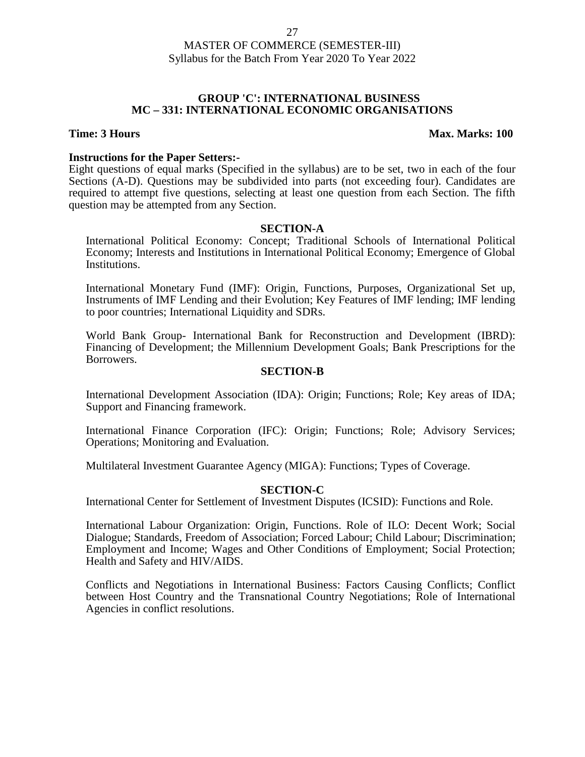#### **GROUP 'C': INTERNATIONAL BUSINESS MC – 331: INTERNATIONAL ECONOMIC ORGANISATIONS**

#### **Time: 3 Hours Max. Marks: 100**

#### **Instructions for the Paper Setters:-**

Eight questions of equal marks (Specified in the syllabus) are to be set, two in each of the four Sections (A-D). Questions may be subdivided into parts (not exceeding four). Candidates are required to attempt five questions, selecting at least one question from each Section. The fifth question may be attempted from any Section.

#### **SECTION-A**

International Political Economy: Concept; Traditional Schools of International Political Economy; Interests and Institutions in International Political Economy; Emergence of Global Institutions.

International Monetary Fund (IMF): Origin, Functions, Purposes, Organizational Set up, Instruments of IMF Lending and their Evolution; Key Features of IMF lending; IMF lending to poor countries; International Liquidity and SDRs.

World Bank Group- International Bank for Reconstruction and Development (IBRD): Financing of Development; the Millennium Development Goals; Bank Prescriptions for the Borrowers.

#### **SECTION-B**

International Development Association (IDA): Origin; Functions; Role; Key areas of IDA; Support and Financing framework.

International Finance Corporation (IFC): Origin; Functions; Role; Advisory Services; Operations; Monitoring and Evaluation.

Multilateral Investment Guarantee Agency (MIGA): Functions; Types of Coverage.

#### **SECTION-C**

International Center for Settlement of Investment Disputes (ICSID): Functions and Role.

International Labour Organization: Origin, Functions. Role of ILO: Decent Work; Social Dialogue; Standards, Freedom of Association; Forced Labour; Child Labour; Discrimination; Employment and Income; Wages and Other Conditions of Employment; Social Protection; Health and Safety and HIV/AIDS.

Conflicts and Negotiations in International Business: Factors Causing Conflicts; Conflict between Host Country and the Transnational Country Negotiations; Role of International Agencies in conflict resolutions.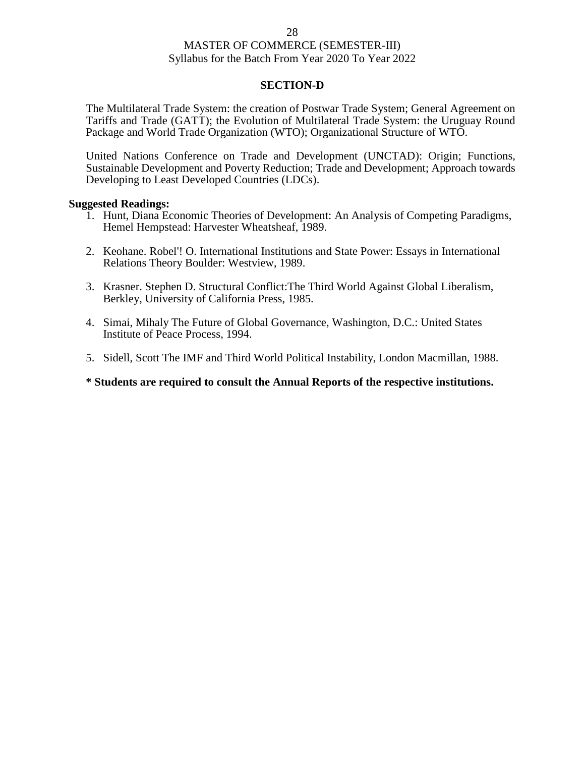#### **SECTION-D**

The Multilateral Trade System: the creation of Postwar Trade System; General Agreement on Tariffs and Trade (GATT); the Evolution of Multilateral Trade System: the Uruguay Round Package and World Trade Organization (WTO); Organizational Structure of WTO.

United Nations Conference on Trade and Development (UNCTAD): Origin; Functions, Sustainable Development and Poverty Reduction; Trade and Development; Approach towards Developing to Least Developed Countries (LDCs).

#### **Suggested Readings:**

- 1. Hunt, Diana Economic Theories of Development: An Analysis of Competing Paradigms, Hemel Hempstead: Harvester Wheatsheaf, 1989.
- 2. Keohane. Robel'! O. International Institutions and State Power: Essays in International Relations Theory Boulder: Westview, 1989.
- 3. Krasner. Stephen D. Structural Conflict:The Third World Against Global Liberalism, Berkley, University of California Press, 1985.
- 4. Simai, Mihaly The Future of Global Governance, Washington, D.C.: United States Institute of Peace Process, 1994.
- 5. Sidell, Scott The IMF and Third World Political Instability, London Macmillan, 1988.

**\* Students are required to consult the Annual Reports of the respective institutions.**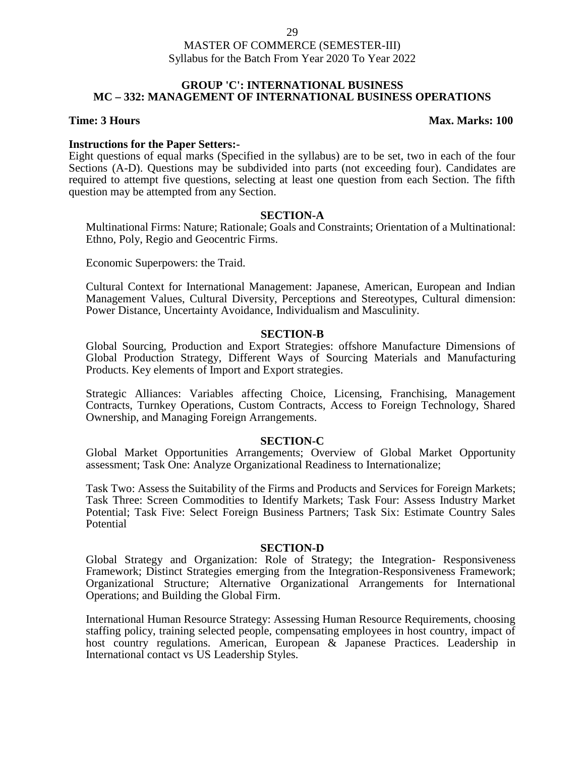### **GROUP 'C': INTERNATIONAL BUSINESS MC – 332: MANAGEMENT OF INTERNATIONAL BUSINESS OPERATIONS**

### **Time: 3 Hours Max. Marks: 100**

### **Instructions for the Paper Setters:-**

Eight questions of equal marks (Specified in the syllabus) are to be set, two in each of the four Sections (A-D). Questions may be subdivided into parts (not exceeding four). Candidates are required to attempt five questions, selecting at least one question from each Section. The fifth question may be attempted from any Section.

### **SECTION-A**

Multinational Firms: Nature; Rationale; Goals and Constraints; Orientation of a Multinational: Ethno, Poly, Regio and Geocentric Firms.

Economic Superpowers: the Traid.

Cultural Context for International Management: Japanese, American, European and Indian Management Values, Cultural Diversity, Perceptions and Stereotypes, Cultural dimension: Power Distance, Uncertainty Avoidance, Individualism and Masculinity.

### **SECTION-B**

Global Sourcing, Production and Export Strategies: offshore Manufacture Dimensions of Global Production Strategy, Different Ways of Sourcing Materials and Manufacturing Products. Key elements of Import and Export strategies.

Strategic Alliances: Variables affecting Choice, Licensing, Franchising, Management Contracts, Turnkey Operations, Custom Contracts, Access to Foreign Technology, Shared Ownership, and Managing Foreign Arrangements.

#### **SECTION-C**

Global Market Opportunities Arrangements; Overview of Global Market Opportunity assessment; Task One: Analyze Organizational Readiness to Internationalize;

Task Two: Assess the Suitability of the Firms and Products and Services for Foreign Markets; Task Three: Screen Commodities to Identify Markets; Task Four: Assess Industry Market Potential; Task Five: Select Foreign Business Partners; Task Six: Estimate Country Sales Potential

#### **SECTION-D**

Global Strategy and Organization: Role of Strategy; the Integration- Responsiveness Framework; Distinct Strategies emerging from the Integration-Responsiveness Framework; Organizational Structure; Alternative Organizational Arrangements for International Operations; and Building the Global Firm.

International Human Resource Strategy: Assessing Human Resource Requirements, choosing staffing policy, training selected people, compensating employees in host country, impact of host country regulations. American, European & Japanese Practices. Leadership in International contact vs US Leadership Styles.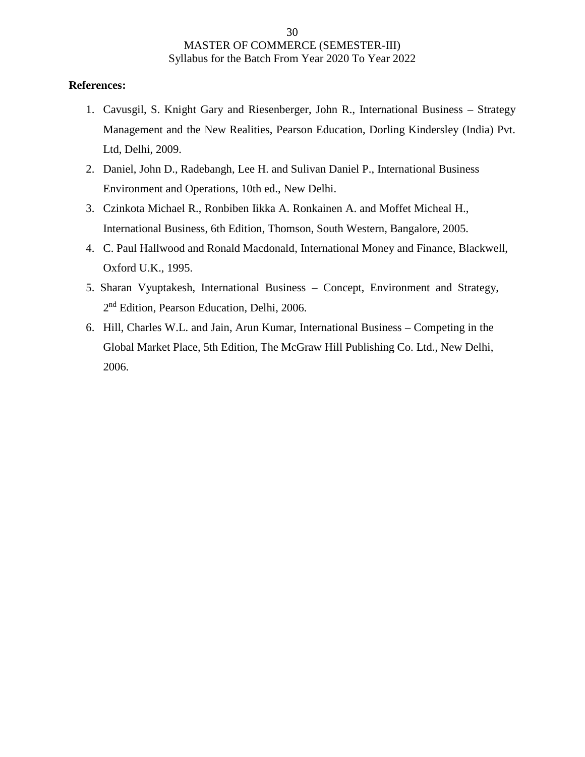## **References:**

- 1. Cavusgil, S. Knight Gary and Riesenberger, John R., International Business Strategy Management and the New Realities, Pearson Education, Dorling Kindersley (India) Pvt. Ltd, Delhi, 2009.
- 2. Daniel, John D., Radebangh, Lee H. and Sulivan Daniel P., International Business Environment and Operations, 10th ed., New Delhi.
- 3. Czinkota Michael R., Ronbiben Iikka A. Ronkainen A. and Moffet Micheal H., International Business, 6th Edition, Thomson, South Western, Bangalore, 2005.
- 4. C. Paul Hallwood and Ronald Macdonald, International Money and Finance, Blackwell, Oxford U.K., 1995.
- 5. Sharan Vyuptakesh, International Business Concept, Environment and Strategy, 2 nd Edition, Pearson Education, Delhi, 2006.
- 6. Hill, Charles W.L. and Jain, Arun Kumar, International Business Competing in the Global Market Place, 5th Edition, The McGraw Hill Publishing Co. Ltd., New Delhi, 2006.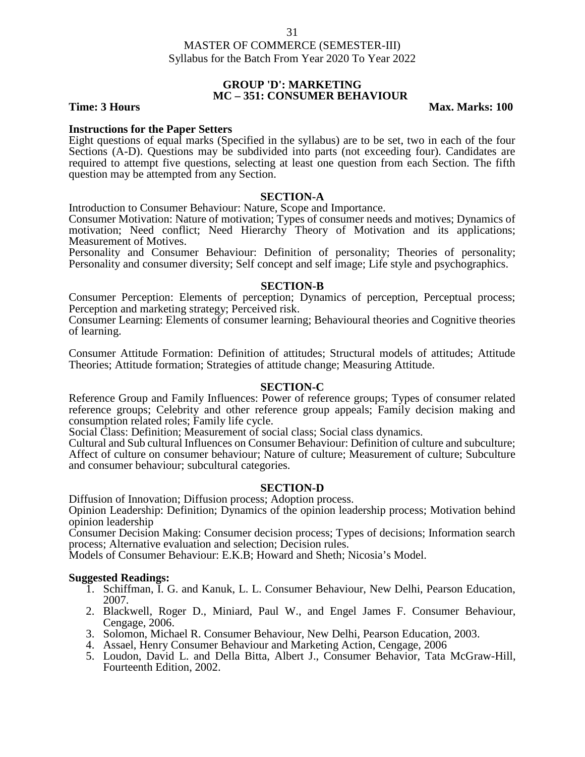#### **GROUP 'D': MARKETING MC – 351: CONSUMER BEHAVIOUR**

**Time: 3 Hours Max. Marks: 100** 

#### **Instructions for the Paper Setters**

Eight questions of equal marks (Specified in the syllabus) are to be set, two in each of the four Sections (A-D). Questions may be subdivided into parts (not exceeding four). Candidates are required to attempt five questions, selecting at least one question from each Section. The fifth question may be attempted from any Section.

#### **SECTION-A**

Introduction to Consumer Behaviour: Nature, Scope and Importance.

Consumer Motivation: Nature of motivation; Types of consumer needs and motives; Dynamics of motivation; Need conflict; Need Hierarchy Theory of Motivation and its applications; Measurement of Motives.

Personality and Consumer Behaviour: Definition of personality; Theories of personality; Personality and consumer diversity; Self concept and self image; Life style and psychographics.

#### **SECTION-B**

Consumer Perception: Elements of perception; Dynamics of perception, Perceptual process; Perception and marketing strategy; Perceived risk.

Consumer Learning: Elements of consumer learning; Behavioural theories and Cognitive theories of learning.

Consumer Attitude Formation: Definition of attitudes; Structural models of attitudes; Attitude Theories; Attitude formation; Strategies of attitude change; Measuring Attitude.

#### **SECTION-C**

Reference Group and Family Influences: Power of reference groups; Types of consumer related reference groups; Celebrity and other reference group appeals; Family decision making and consumption related roles; Family life cycle.

Social Class: Definition; Measurement of social class; Social class dynamics.

Cultural and Sub cultural Influences on Consumer Behaviour: Definition of culture and subculture; Affect of culture on consumer behaviour; Nature of culture; Measurement of culture; Subculture and consumer behaviour; subcultural categories.

#### **SECTION-D**

Diffusion of Innovation; Diffusion process; Adoption process.

Opinion Leadership: Definition; Dynamics of the opinion leadership process; Motivation behind opinion leadership

Consumer Decision Making: Consumer decision process; Types of decisions; Information search process; Alternative evaluation and selection; Decision rules.

Models of Consumer Behaviour: E.K.B; Howard and Sheth; Nicosia's Model.

- 1. Schiffman, I. G. and Kanuk, L. L. Consumer Behaviour, New Delhi, Pearson Education, 2007.
- 2. Blackwell, Roger D., Miniard, Paul W., and Engel James F. Consumer Behaviour, Cengage, 2006.
- 3. Solomon, Michael R. Consumer Behaviour, New Delhi, Pearson Education, 2003.
- 4. Assael, Henry Consumer Behaviour and Marketing Action, Cengage, 2006
- 5. Loudon, David L. and Della Bitta, Albert J., Consumer Behavior, Tata McGraw-Hill, Fourteenth Edition, 2002.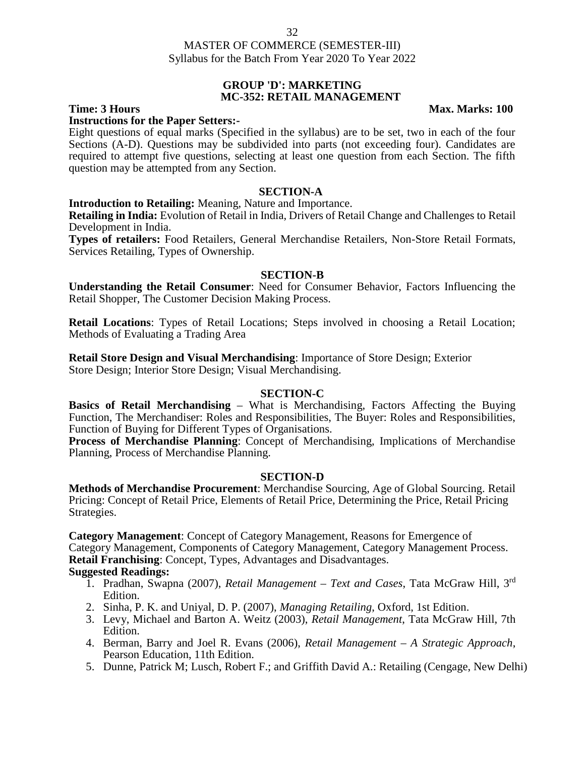#### 32

# MASTER OF COMMERCE (SEMESTER-III) Syllabus for the Batch From Year 2020 To Year 2022

#### **GROUP 'D': MARKETING MC-352: RETAIL MANAGEMENT**

**Time: 3 Hours Max. Marks: 100** 

# **Instructions for the Paper Setters:-**

Eight questions of equal marks (Specified in the syllabus) are to be set, two in each of the four Sections (A-D). Questions may be subdivided into parts (not exceeding four). Candidates are required to attempt five questions, selecting at least one question from each Section. The fifth question may be attempted from any Section.

#### **SECTION-A**

#### **Introduction to Retailing:** Meaning, Nature and Importance.

**Retailing in India:** Evolution of Retail in India, Drivers of Retail Change and Challenges to Retail Development in India.

**Types of retailers:** Food Retailers, General Merchandise Retailers, Non-Store Retail Formats, Services Retailing, Types of Ownership.

#### **SECTION-B**

**Understanding the Retail Consumer**: Need for Consumer Behavior, Factors Influencing the Retail Shopper, The Customer Decision Making Process.

**Retail Locations**: Types of Retail Locations; Steps involved in choosing a Retail Location; Methods of Evaluating a Trading Area

**Retail Store Design and Visual Merchandising**: Importance of Store Design; Exterior Store Design; Interior Store Design; Visual Merchandising.

#### **SECTION-C**

**Basics of Retail Merchandising** – What is Merchandising, Factors Affecting the Buying Function, The Merchandiser: Roles and Responsibilities, The Buyer: Roles and Responsibilities, Function of Buying for Different Types of Organisations.

**Process of Merchandise Planning**: Concept of Merchandising, Implications of Merchandise Planning, Process of Merchandise Planning.

#### **SECTION-D**

**Methods of Merchandise Procurement**: Merchandise Sourcing, Age of Global Sourcing. Retail Pricing: Concept of Retail Price, Elements of Retail Price, Determining the Price, Retail Pricing Strategies.

**Category Management**: Concept of Category Management, Reasons for Emergence of Category Management, Components of Category Management, Category Management Process. **Retail Franchising**: Concept, Types, Advantages and Disadvantages.

- 1. Pradhan, Swapna (2007), *Retail Management – Text and Cases*, Tata McGraw Hill, 3rd Edition.
- 2. Sinha, P. K. and Uniyal, D. P. (2007), *Managing Retailing*, Oxford, 1st Edition.
- 3. Levy, Michael and Barton A. Weitz (2003), *Retail Management*, Tata McGraw Hill, 7th Edition.
- 4. Berman, Barry and Joel R. Evans (2006), *Retail Management – A Strategic Approach*, Pearson Education, 11th Edition.
- 5. Dunne, Patrick M; Lusch, Robert F.; and Griffith David A.: Retailing (Cengage, New Delhi)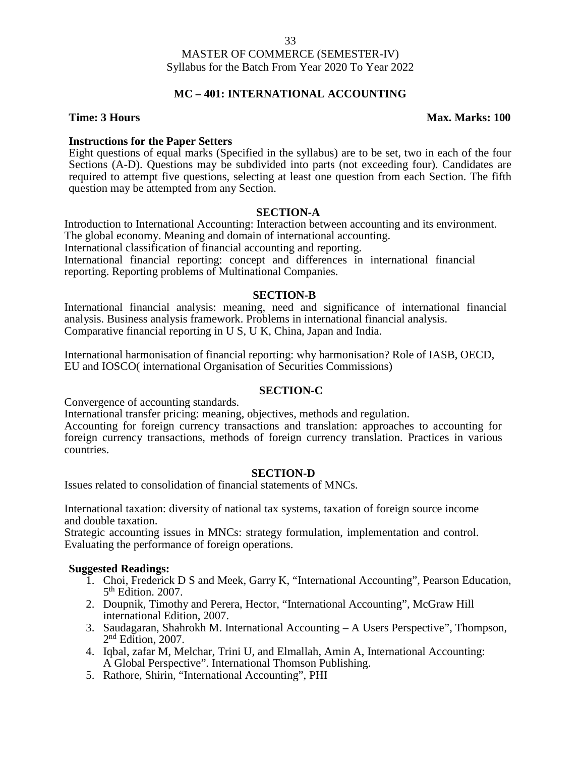# **MC – 401: INTERNATIONAL ACCOUNTING**

#### **Time: 3 Hours Max. Marks: 100**

### **Instructions for the Paper Setters**

Eight questions of equal marks (Specified in the syllabus) are to be set, two in each of the four Sections (A-D). Questions may be subdivided into parts (not exceeding four). Candidates are required to attempt five questions, selecting at least one question from each Section. The fifth question may be attempted from any Section.

### **SECTION-A**

Introduction to International Accounting: Interaction between accounting and its environment. The global economy. Meaning and domain of international accounting. International classification of financial accounting and reporting*.* International financial reporting: concept and differences in international financial reporting. Reporting problems of Multinational Companies.

# **SECTION-B**

International financial analysis: meaning, need and significance of international financial analysis. Business analysis framework. Problems in international financial analysis. Comparative financial reporting in U S, U K, China, Japan and India.

International harmonisation of financial reporting: why harmonisation? Role of IASB, OECD, EU and IOSCO( international Organisation of Securities Commissions)

# **SECTION-C**

Convergence of accounting standards.

International transfer pricing: meaning, objectives, methods and regulation.

Accounting for foreign currency transactions and translation: approaches to accounting for foreign currency transactions, methods of foreign currency translation. Practices in various countries.

#### **SECTION-D**

Issues related to consolidation of financial statements of MNCs.

International taxation: diversity of national tax systems, taxation of foreign source income and double taxation.

Strategic accounting issues in MNCs: strategy formulation, implementation and control. Evaluating the performance of foreign operations.

- 1. Choi, Frederick D S and Meek, Garry K, "International Accounting", Pearson Education, 5 th Edition. 2007.
- 2. Doupnik, Timothy and Perera, Hector, "International Accounting", McGraw Hill international Edition, 2007.
- 3. Saudagaran, Shahrokh M. International Accounting A Users Perspective", Thompson, 2 nd Edition, 2007.
- 4. Iqbal, zafar M, Melchar, Trini U, and Elmallah, Amin A, International Accounting: A Global Perspective". International Thomson Publishing.
- 5. Rathore, Shirin, "International Accounting", PHI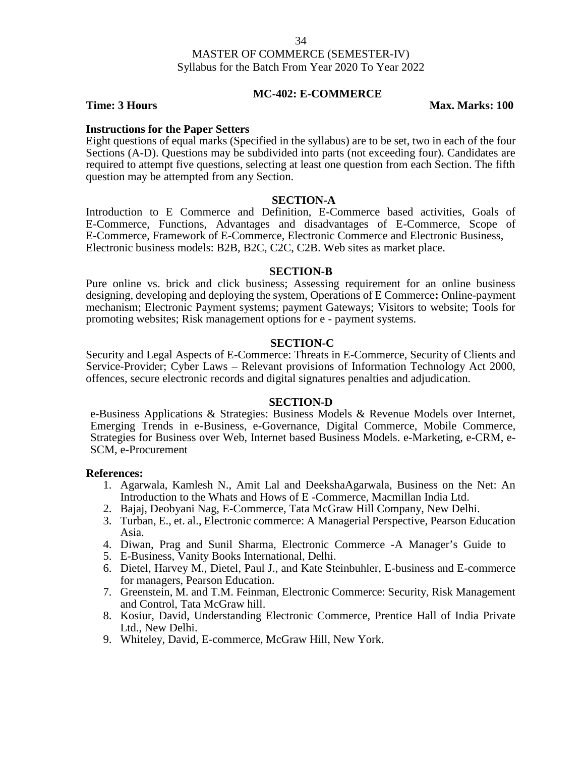### **MC-402: E-COMMERCE**

**Time: 3 Hours Max. Marks: 100** 

### **Instructions for the Paper Setters**

Eight questions of equal marks (Specified in the syllabus) are to be set, two in each of the four Sections (A-D). Questions may be subdivided into parts (not exceeding four). Candidates are required to attempt five questions, selecting at least one question from each Section. The fifth question may be attempted from any Section.

### **SECTION-A**

Introduction to E Commerce and Definition, E-Commerce based activities, Goals of E-Commerce, Functions, Advantages and disadvantages of E-Commerce, Scope of E-Commerce, Framework of E-Commerce, Electronic Commerce and Electronic Business, Electronic business models: B2B, B2C, C2C, C2B. Web sites as market place.

#### **SECTION-B**

Pure online vs. brick and click business; Assessing requirement for an online business designing, developing and deploying the system, Operations of E Commerce**:** Online-payment mechanism; Electronic Payment systems; payment Gateways; Visitors to website; Tools for promoting websites; Risk management options for e - payment systems.

### **SECTION-C**

Security and Legal Aspects of E-Commerce: Threats in E-Commerce, Security of Clients and Service-Provider; Cyber Laws – Relevant provisions of Information Technology Act 2000, offences, secure electronic records and digital signatures penalties and adjudication.

#### **SECTION-D**

e-Business Applications & Strategies: Business Models & Revenue Models over Internet, Emerging Trends in e-Business, e-Governance, Digital Commerce, Mobile Commerce, Strategies for Business over Web, Internet based Business Models. e-Marketing, e-CRM, e- SCM, e-Procurement

#### **References:**

- 1. Agarwala, Kamlesh N., Amit Lal and DeekshaAgarwala, Business on the Net: An Introduction to the Whats and Hows of E -Commerce, Macmillan India Ltd.
- 2. Bajaj, Deobyani Nag, E-Commerce, Tata McGraw Hill Company, New Delhi.
- 3. Turban, E., et. al., Electronic commerce: A Managerial Perspective, Pearson Education Asia.
- 4. Diwan, Prag and Sunil Sharma, Electronic Commerce -A Manager's Guide to
- 5. E-Business, Vanity Books International, Delhi.
- 6. Dietel, Harvey M., Dietel, Paul J., and Kate Steinbuhler, E-business and E-commerce for managers, Pearson Education.
- 7. Greenstein, M. and T.M. Feinman, Electronic Commerce: Security, Risk Management and Control, Tata McGraw hill.
- 8. Kosiur, David, Understanding Electronic Commerce, Prentice Hall of India Private Ltd., New Delhi.
- 9. Whiteley, David, E-commerce, McGraw Hill, New York.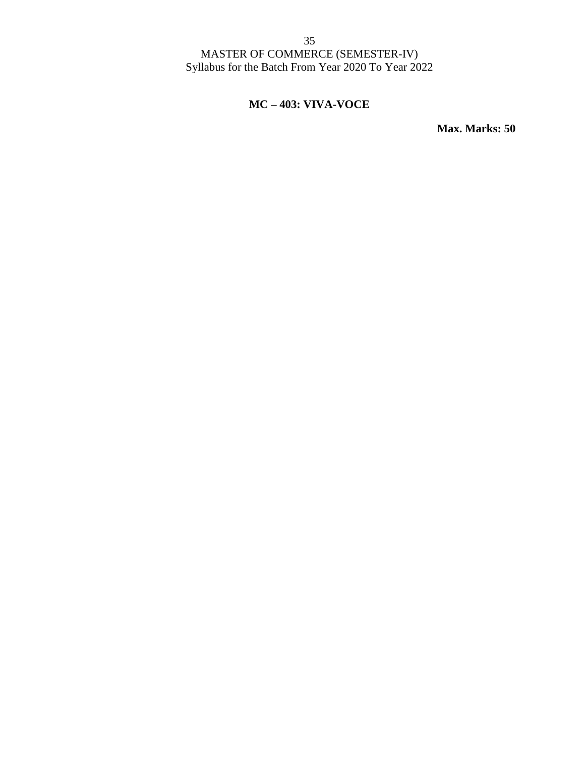# **MC – 403: VIVA-VOCE**

**Max. Marks: 50**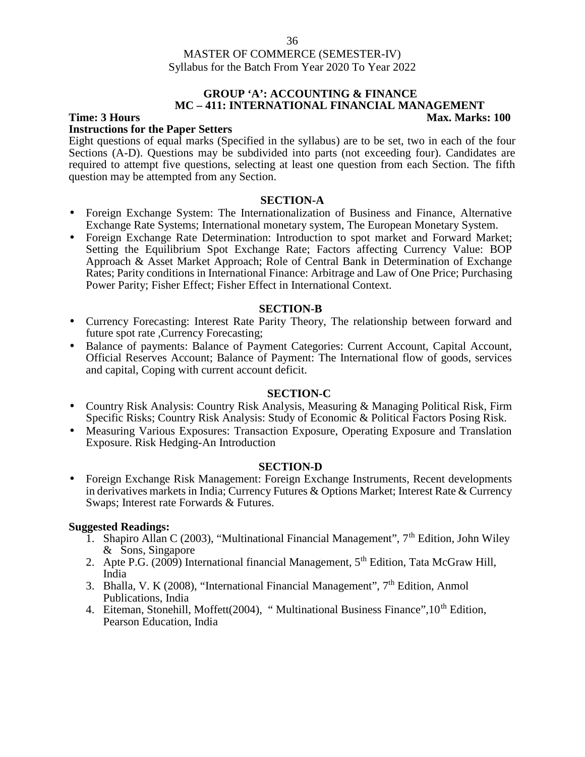#### **GROUP 'A': ACCOUNTING & FINANCE MC – 411:INTERNATIONAL FINANCIAL MANAGEMENT Time: 3 Hours Max. Marks: 100**

# **Instructions for the Paper Setters**

Eight questions of equal marks (Specified in the syllabus) are to be set, two in each of the four Sections (A-D). Questions may be subdivided into parts (not exceeding four). Candidates are required to attempt five questions, selecting at least one question from each Section. The fifth question may be attempted from any Section.

### **SECTION-A**

- Foreign Exchange System: The Internationalization of Business and Finance, Alternative Exchange Rate Systems; International monetary system, The European Monetary System.
- Foreign Exchange Rate Determination: Introduction to spot market and Forward Market; Setting the Equilibrium Spot Exchange Rate; Factors affecting Currency Value: BOP Approach & Asset Market Approach; Role of Central Bank in Determination of Exchange Rates; Parity conditions in International Finance: Arbitrage and Law of One Price; Purchasing Power Parity; Fisher Effect; Fisher Effect in International Context.

### **SECTION-B**

- Currency Forecasting: Interest Rate Parity Theory, The relationship between forward and future spot rate ,Currency Forecasting;
- Balance of payments: Balance of Payment Categories: Current Account, Capital Account, Official Reserves Account; Balance of Payment: The International flow of goods, services and capital, Coping with current account deficit.

### **SECTION-C**

- Country Risk Analysis: Country Risk Analysis, Measuring & Managing Political Risk, Firm Specific Risks; Country Risk Analysis: Study of Economic & Political Factors Posing Risk.
- Measuring Various Exposures: Transaction Exposure, Operating Exposure and Translation Exposure. Risk Hedging-An Introduction

#### **SECTION-D**

 Foreign Exchange Risk Management: Foreign Exchange Instruments, Recent developments in derivatives markets in India; Currency Futures & Options Market; Interest Rate & Currency Swaps; Interest rate Forwards & Futures.

- 1. Shapiro Allan C (2003), "Multinational Financial Management",  $7<sup>th</sup>$  Edition, John Wiley & Sons, Singapore
- 2. Apte P.G. (2009) International financial Management, 5<sup>th</sup> Edition, Tata McGraw Hill, India
- 3. Bhalla, V. K (2008), "International Financial Management",  $7<sup>th</sup>$  Edition, Anmol Publications, India
- 4. Eiteman, Stonehill, Moffett(2004), "Multinational Business Finance", 10<sup>th</sup> Edition, Pearson Education, India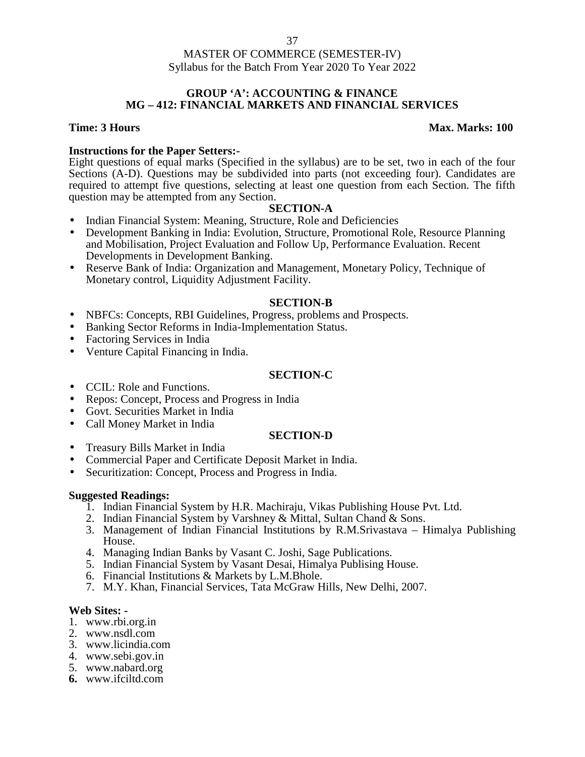## **GROUP 'A': ACCOUNTING & FINANCE MG – 412: FINANCIAL MARKETS AND FINANCIAL SERVICES**

# **Time: 3 Hours Max. Marks:** 100

**Instructions for the Paper Setters:-**<br>Eight questions of equal marks (Specified in the syllabus) are to be set, two in each of the four Sections (A-D). Questions may be subdivided into parts (not exceeding four). Candidates are required to attempt five questions, selecting at least one question from each Section. The fifth question may be attempted from any Section.

# **SECTION-A**

- Indian Financial System: Meaning, Structure, Role and Deficiencies
- Development Banking in India: Evolution, Structure, Promotional Role, Resource Planning and Mobilisation, Project Evaluation and Follow Up, Performance Evaluation. Recent Developments in Development Banking.
- Reserve Bank of India: Organization and Management, Monetary Policy, Technique of Monetary control, Liquidity Adjustment Facility.

# **SECTION-B**

- NBFCs: Concepts, RBI Guidelines, Progress, problems and Prospects.
- Banking Sector Reforms in India-Implementation Status.
- Factoring Services in India
- Venture Capital Financing in India.

#### **SECTION-C**

- CCIL: Role and Functions.
- Repos: Concept, Process and Progress in India
- Govt. Securities Market in India
- Call Money Market in India

#### **SECTION-D**

- Treasury Bills Market in India
- Commercial Paper and Certificate Deposit Market in India.
- Securitization: Concept, Process and Progress in India.

- 1. Indian Financial System by H.R. Machiraju, Vikas Publishing House Pvt. Ltd.
- 2. Indian Financial System by Varshney & Mittal, Sultan Chand & Sons.
- 3. Management of Indian Financial Institutions by R.M.Srivastava Himalya Publishing House.
- 4. Managing Indian Banks by Vasant C. Joshi, Sage Publications.
- 5. Indian Financial System by Vasant Desai, Himalya Publising House.
- 6. Financial Institutions & Markets by L.M.Bhole.
- 7. M.Y. Khan, Financial Services, Tata McGraw Hills, New Delhi, 2007.

- **Web Sites: -** 1. www.rbi.org.in
- 2. www.nsdl.com
- 3. www.licindia.com
- 4. www.sebi.gov.in
- 5. www.nabard.org
- **6.** www.ifciltd.com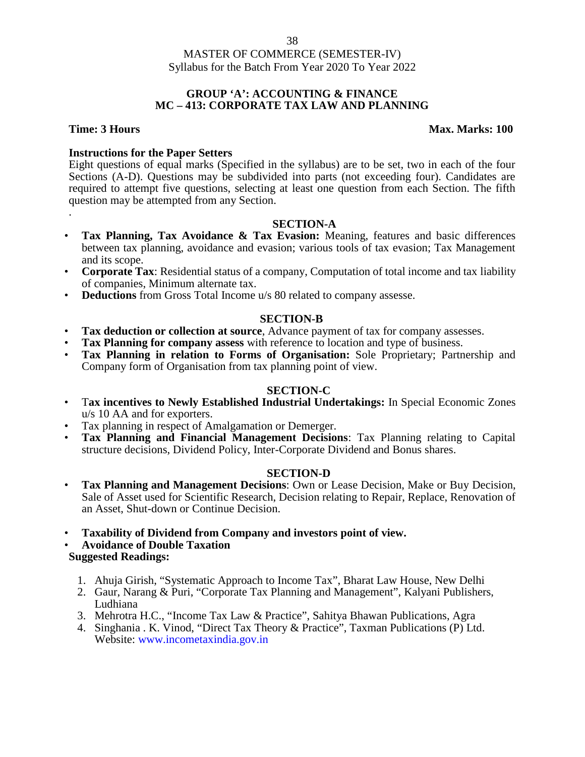### **GROUP 'A': ACCOUNTING & FINANCE MC – 413: CORPORATE TAX LAW AND PLANNING**

.

# **Time: 3 Hours Max. Marks: 100**

# **Instructions for the Paper Setters**

Eight questions of equal marks (Specified in the syllabus) are to be set, two in each of the four Sections (A-D). Questions may be subdivided into parts (not exceeding four). Candidates are required to attempt five questions, selecting at least one question from each Section. The fifth question may be attempted from any Section.

# **SECTION-A**

- **Tax Planning, Tax Avoidance & Tax Evasion:** Meaning, features and basic differences between tax planning, avoidance and evasion; various tools of tax evasion; Tax Management and its scope.
- **Corporate Tax**: Residential status of a company, Computation of total income and tax liability of companies, Minimum alternate tax.
- **Deductions** from Gross Total Income u/s 80 related to company assesse.

# **SECTION-B**

- **Tax deduction or collection at source**, Advance payment of tax for company assesses.
- **Tax Planning for company assess** with reference to location and type of business.
- **Tax Planning in relation to Forms of Organisation:** Sole Proprietary; Partnership and Company form of Organisation from tax planning point of view.

# **SECTION-C**

- T**ax incentives to Newly Established Industrial Undertakings:** In Special Economic Zones u/s 10 AA and for exporters.
- Tax planning in respect of Amalgamation or Demerger.
- **Tax Planning and Financial Management Decisions**: Tax Planning relating to Capital structure decisions, Dividend Policy, Inter-Corporate Dividend and Bonus shares.

# **SECTION-D**

- **Tax Planning and Management Decisions**: Own or Lease Decision, Make or Buy Decision, Sale of Asset used for Scientific Research, Decision relating to Repair, Replace, Renovation of an Asset, Shut-down or Continue Decision.
- **Taxability of Dividend from Company and investors point of view.**

• **Avoidance of Double Taxation**

- 1. Ahuja Girish, "Systematic Approach to Income Tax", Bharat Law House, New Delhi
- 2. Gaur, Narang & Puri, "Corporate Tax Planning and Management", Kalyani Publishers, Ludhiana
- 3. Mehrotra H.C., "Income Tax Law & Practice", Sahitya Bhawan Publications, Agra
- 4. Singhania . K. Vinod, "Direct Tax Theory & Practice", Taxman Publications (P) Ltd. Website: www.incometaxindia.gov.in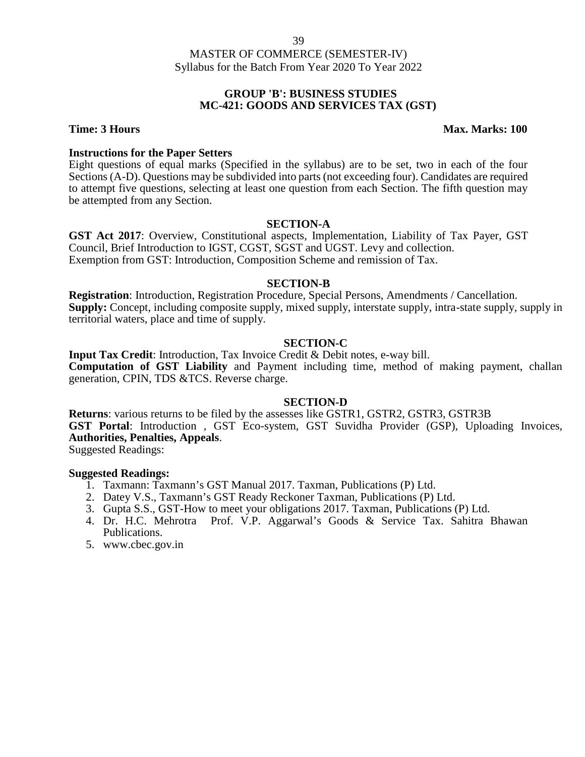### **GROUP 'B': BUSINESS STUDIES MC-421: GOODS AND SERVICES TAX (GST)**

## **Time: 3 Hours Max. Marks: 100**

#### **Instructions for the Paper Setters**

Eight questions of equal marks (Specified in the syllabus) are to be set, two in each of the four Sections (A-D). Questions may be subdivided into parts (not exceeding four). Candidates are required to attempt five questions, selecting at least one question from each Section. The fifth question may be attempted from any Section.

#### **SECTION-A**

**GST Act 2017**: Overview, Constitutional aspects, Implementation, Liability of Tax Payer, GST Council, Brief Introduction to IGST, CGST, SGST and UGST. Levy and collection. Exemption from GST: Introduction, Composition Scheme and remission of Tax.

#### **SECTION-B**

**Registration**: Introduction, Registration Procedure, Special Persons, Amendments / Cancellation. **Supply:** Concept, including composite supply, mixed supply, interstate supply, intra-state supply, supply in territorial waters, place and time of supply.

### **SECTION-C**

**Input Tax Credit**: Introduction, Tax Invoice Credit & Debit notes, e-way bill. **Computation of GST Liability** and Payment including time, method of making payment, challan generation, CPIN, TDS &TCS. Reverse charge.

#### **SECTION-D**

**Returns**: various returns to be filed by the assesses like GSTR1, GSTR2, GSTR3, GSTR3B **GST Portal**: Introduction , GST Eco-system, GST Suvidha Provider (GSP), Uploading Invoices, **Authorities, Penalties, Appeals**.

Suggested Readings:

- 1. Taxmann: Taxmann's GST Manual 2017. Taxman, Publications (P) Ltd.
- 2. Datey V.S., Taxmann's GST Ready Reckoner Taxman, Publications (P) Ltd.
- 3. Gupta S.S., GST-How to meet your obligations 2017. Taxman, Publications (P) Ltd.
- 4. Dr. H.C. Mehrotra Prof. V.P. Aggarwal's Goods & Service Tax. Sahitra Bhawan Publications.
- 5. www.cbec.gov.in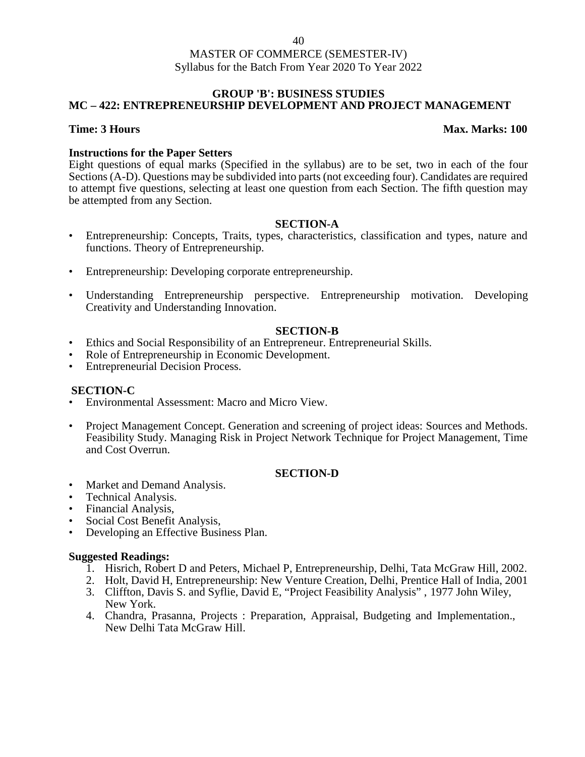# **GROUP 'B': BUSINESS STUDIES MC – 422: ENTREPRENEURSHIP DEVELOPMENT AND PROJECT MANAGEMENT**

# **Time: 3 Hours Max. Marks: 100**

# **Instructions for the Paper Setters**

Eight questions of equal marks (Specified in the syllabus) are to be set, two in each of the four Sections (A-D). Questions may be subdivided into parts (not exceeding four). Candidates are required to attempt five questions, selecting at least one question from each Section. The fifth question may be attempted from any Section.

# **SECTION-A**

- Entrepreneurship: Concepts, Traits, types, characteristics, classification and types, nature and functions. Theory of Entrepreneurship.
- Entrepreneurship: Developing corporate entrepreneurship.
- Understanding Entrepreneurship perspective. Entrepreneurship motivation. Developing Creativity and Understanding Innovation.

# **SECTION-B**

- Ethics and Social Responsibility of an Entrepreneur. Entrepreneurial Skills.
- Role of Entrepreneurship in Economic Development.
- Entrepreneurial Decision Process.

# **SECTION-C**

- Environmental Assessment: Macro and Micro View.
- Project Management Concept. Generation and screening of project ideas: Sources and Methods. Feasibility Study. Managing Risk in Project Network Technique for Project Management, Time and Cost Overrun.

# **SECTION-D**

- Market and Demand Analysis.
- Technical Analysis.
- Financial Analysis,
- Social Cost Benefit Analysis,
- Developing an Effective Business Plan.

- 1. Hisrich, Robert D and Peters, Michael P, Entrepreneurship, Delhi, Tata McGraw Hill, 2002.
- 2. Holt, David H, Entrepreneurship: New Venture Creation, Delhi, Prentice Hall of India, 2001
- 3. Cliffton, Davis S. and Syflie, David E, "Project Feasibility Analysis" , 1977 John Wiley, New York.
- 4. Chandra, Prasanna, Projects : Preparation, Appraisal, Budgeting and Implementation., New Delhi Tata McGraw Hill.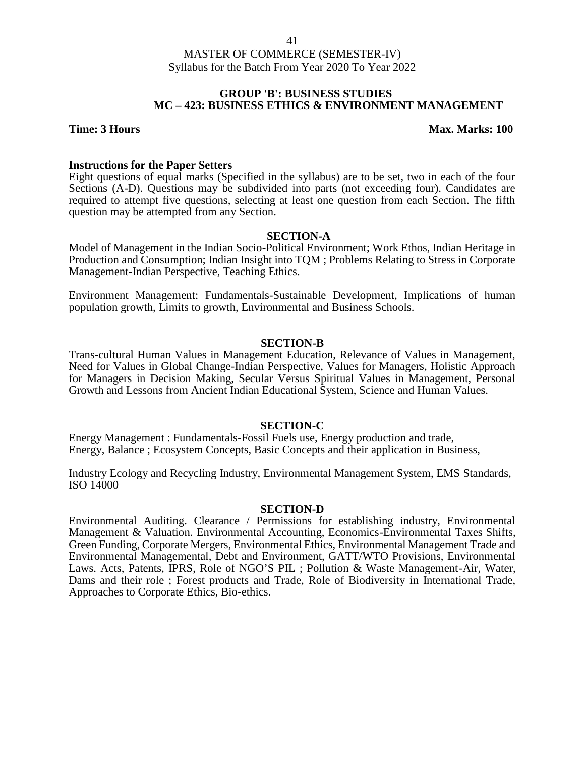### **GROUP 'B': BUSINESS STUDIES MC – 423: BUSINESS ETHICS & ENVIRONMENT MANAGEMENT**

#### **Time: 3 Hours Max.** Marks: 100

#### **Instructions for the Paper Setters**

Eight questions of equal marks (Specified in the syllabus) are to be set, two in each of the four Sections (A-D). Questions may be subdivided into parts (not exceeding four). Candidates are required to attempt five questions, selecting at least one question from each Section. The fifth question may be attempted from any Section.

### **SECTION-A**

Model of Management in the Indian Socio-Political Environment; Work Ethos, Indian Heritage in Production and Consumption; Indian Insight into TQM ; Problems Relating to Stress in Corporate Management-Indian Perspective, Teaching Ethics.

Environment Management: Fundamentals-Sustainable Development, Implications of human population growth, Limits to growth, Environmental and Business Schools.

#### **SECTION-B**

Trans-cultural Human Values in Management Education, Relevance of Values in Management, Need for Values in Global Change-Indian Perspective, Values for Managers, Holistic Approach for Managers in Decision Making, Secular Versus Spiritual Values in Management, Personal Growth and Lessons from Ancient Indian Educational System, Science and Human Values.

#### **SECTION-C**

Energy Management : Fundamentals-Fossil Fuels use, Energy production and trade, Energy, Balance ; Ecosystem Concepts, Basic Concepts and their application in Business,

Industry Ecology and Recycling Industry, Environmental Management System, EMS Standards, ISO 14000

#### **SECTION-D**

Environmental Auditing. Clearance / Permissions for establishing industry, Environmental Management & Valuation. Environmental Accounting, Economics-Environmental Taxes Shifts, Green Funding, Corporate Mergers, Environmental Ethics, Environmental Management Trade and Environmental Managemental, Debt and Environment, GATT/WTO Provisions, Environmental Laws. Acts, Patents, IPRS, Role of NGO'S PIL ; Pollution & Waste Management-Air, Water, Dams and their role ; Forest products and Trade, Role of Biodiversity in International Trade, Approaches to Corporate Ethics, Bio-ethics.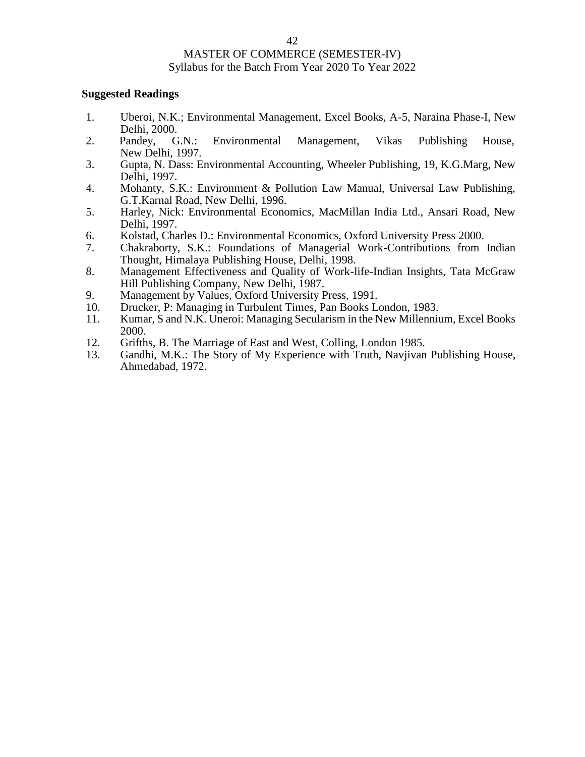# MASTER OF COMMERCE (SEMESTER-IV)

#### Syllabus for the Batch From Year 2020 To Year 2022

- 1. Uberoi, N.K.; Environmental Management, Excel Books, A-5, Naraina Phase-I, New Delhi, 2000.
- 2. Pandey, G.N.: Environmental Management, Vikas Publishing House, New Delhi, 1997.
- 3. Gupta, N. Dass: Environmental Accounting, Wheeler Publishing, 19, K.G.Marg, New Delhi, 1997.
- 4. Mohanty, S.K.: Environment & Pollution Law Manual, Universal Law Publishing, G.T.Karnal Road, New Delhi, 1996.
- 5. Harley, Nick: Environmental Economics, MacMillan India Ltd., Ansari Road, New Delhi, 1997.
- 6. Kolstad, Charles D.: Environmental Economics, Oxford University Press 2000.
- 7. Chakraborty, S.K.: Foundations of Managerial Work-Contributions from Indian Thought, Himalaya Publishing House, Delhi, 1998.
- 8. Management Effectiveness and Quality of Work-life-Indian Insights, Tata McGraw Hill Publishing Company, New Delhi, 1987.
- 9. Management by Values, Oxford University Press, 1991.
- 10. Drucker, P: Managing in Turbulent Times, Pan Books London, 1983.
- 11. Kumar, S and N.K. Uneroi: Managing Secularism in the New Millennium, Excel Books 2000.
- 12. Grifths, B. The Marriage of East and West, Colling, London 1985.
- 13. Gandhi, M.K.: The Story of My Experience with Truth, Navjivan Publishing House, Ahmedabad, 1972.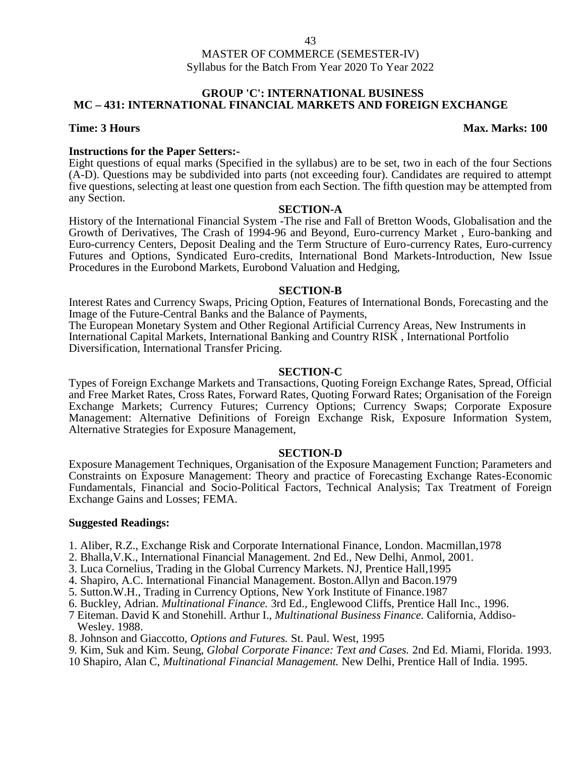# MASTER OF COMMERCE (SEMESTER-IV)

# Syllabus for the Batch From Year 2020 To Year 2022

#### **GROUP 'C': INTERNATIONAL BUSINESS MC – 431: INTERNATIONAL FINANCIAL MARKETS AND FOREIGN EXCHANGE**

### **Time: 3 Hours Max. Marks: 100**

**Instructions for the Paper Setters:-** Eight questions of equal marks (Specified in the syllabus) are to be set, two in each of the four Sections (A-D). Questions may be subdivided into parts (not exceeding four). Candidates are required to attempt five questions, selecting at least one question from each Section. The fifth question may be attempted from any Section.

#### **SECTION-A**

History of the International Financial System -The rise and Fall of Bretton Woods, Globalisation and the Growth of Derivatives, The Crash of 1994-96 and Beyond, Euro-currency Market , Euro-banking and Euro-currency Centers, Deposit Dealing and the Term Structure of Euro-currency Rates, Euro-currency Futures and Options, Syndicated Euro-credits, International Bond Markets-Introduction, New Issue Procedures in the Eurobond Markets, Eurobond Valuation and Hedging,

#### **SECTION-B**

Interest Rates and Currency Swaps, Pricing Option, Features of International Bonds, Forecasting and the Image of the Future-Central Banks and the Balance of Payments,

The European Monetary System and Other Regional Artificial Currency Areas, New Instruments in International Capital Markets, International Banking and Country RISK , International Portfolio Diversification, International Transfer Pricing.

#### **SECTION-C**

Types of Foreign Exchange Markets and Transactions, Quoting Foreign Exchange Rates, Spread, Official and Free Market Rates, Cross Rates, Forward Rates, Quoting Forward Rates; Organisation of the Foreign Exchange Markets; Currency Futures; Currency Options; Currency Swaps; Corporate Exposure Management: Alternative Definitions of Foreign Exchange Risk, Exposure Information System, Alternative Strategies for Exposure Management,

#### **SECTION-D**

Exposure Management Techniques, Organisation of the Exposure Management Function; Parameters and Constraints on Exposure Management: Theory and practice of Forecasting Exchange Rates-Economic Fundamentals, Financial and Socio-Political Factors, Technical Analysis; Tax Treatment of Foreign Exchange Gains and Losses; FEMA.

- 1. Aliber, R.Z., Exchange Risk and Corporate International Finance, London. Macmillan,1978
- 2. Bhalla,V.K., International Financial Management. 2nd Ed., New Delhi, Anmol, 2001.
- 3. Luca Cornelius, Trading in the Global Currency Markets. NJ, Prentice Hall,1995
- 4. Shapiro, A.C. International Financial Management. Boston.Allyn and Bacon.1979
- 5. Sutton.W.H., Trading in Currency Options, New York Institute of Finance.1987
- 6. Buckley, Adrian. *Multinational Finance.* 3rd Ed., Englewood Cliffs, Prentice Hall Inc., 1996.
- 7 Eiteman. David K and Stonehill. Arthur I., *Multinational Business Finance.* California, Addiso- Wesley. 1988.
- 8. Johnson and Giaccotto, *Options and Futures.* St. Paul. West, 1995
- *9.* Kim, Suk and Kim. Seung, *Global Corporate Finance: Text and Cases.* 2nd Ed. Miami, Florida. 1993.
- 10 Shapiro, Alan C, *Multinational Financial Management.* New Delhi, Prentice Hall of India. 1995.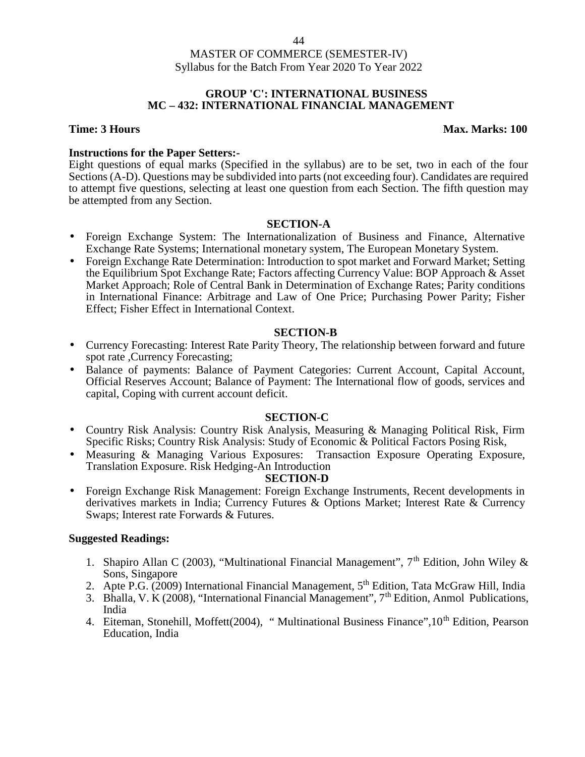### **GROUP 'C': INTERNATIONAL BUSINESS MC – 432: INTERNATIONAL FINANCIAL MANAGEMENT**

# **Time: 3 Hours Max. Marks: 100**

# **Instructions for the Paper Setters:-**

Eight questions of equal marks (Specified in the syllabus) are to be set, two in each of the four Sections (A-D). Questions may be subdivided into parts (not exceeding four). Candidates are required to attempt five questions, selecting at least one question from each Section. The fifth question may be attempted from any Section.

# **SECTION-A**

- Foreign Exchange System: The Internationalization of Business and Finance, Alternative Exchange Rate Systems; International monetary system, The European Monetary System.
- Foreign Exchange Rate Determination: Introduction to spot market and Forward Market; Setting the Equilibrium Spot Exchange Rate; Factors affecting Currency Value: BOP Approach & Asset Market Approach; Role of Central Bank in Determination of Exchange Rates; Parity conditions in International Finance: Arbitrage and Law of One Price; Purchasing Power Parity; Fisher Effect; Fisher Effect in International Context.

# **SECTION-B**

- Currency Forecasting: Interest Rate Parity Theory, The relationship between forward and future spot rate ,Currency Forecasting;
- Balance of payments: Balance of Payment Categories: Current Account, Capital Account, Official Reserves Account; Balance of Payment: The International flow of goods, services and capital, Coping with current account deficit.

# **SECTION-C**

- Country Risk Analysis: Country Risk Analysis, Measuring & Managing Political Risk, Firm Specific Risks; Country Risk Analysis: Study of Economic & Political Factors Posing Risk,
- Measuring & Managing Various Exposures: Transaction Exposure Operating Exposure, Translation Exposure. Risk Hedging-An Introduction

# **SECTION-D**

 Foreign Exchange Risk Management: Foreign Exchange Instruments, Recent developments in derivatives markets in India; Currency Futures & Options Market; Interest Rate & Currency Swaps; Interest rate Forwards & Futures.

- 1. Shapiro Allan C (2003), "Multinational Financial Management",  $7<sup>th</sup>$  Edition, John Wiley & Sons, Singapore
- 2. Apte P.G. (2009) International Financial Management, 5<sup>th</sup> Edition, Tata McGraw Hill, India
- 3. Bhalla, V. K (2008), "International Financial Management",  $7<sup>th</sup>$  Edition, Anmol Publications, India
- 4. Eiteman, Stonehill, Moffett(2004), "Multinational Business Finance", 10<sup>th</sup> Edition, Pearson Education, India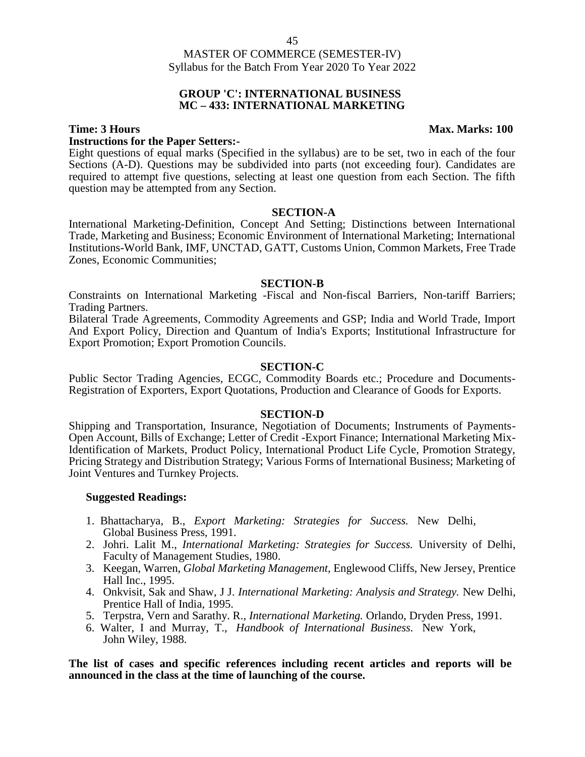#### **GROUP 'C': INTERNATIONAL BUSINESS MC – 433: INTERNATIONAL MARKETING**

# **Instructions for the Paper Setters:-**

Eight questions of equal marks (Specified in the syllabus) are to be set, two in each of the four Sections (A-D). Questions may be subdivided into parts (not exceeding four). Candidates are required to attempt five questions, selecting at least one question from each Section. The fifth question may be attempted from any Section.

#### **SECTION-A**

International Marketing-Definition, Concept And Setting; Distinctions between International Trade, Marketing and Business; Economic Environment of International Marketing; International Institutions-World Bank, IMF, UNCTAD, GATT, Customs Union, Common Markets, Free Trade Zones, Economic Communities;

#### **SECTION-B**

Constraints on International Marketing -Fiscal and Non-fiscal Barriers, Non-tariff Barriers; Trading Partners.

Bilateral Trade Agreements, Commodity Agreements and GSP; India and World Trade, Import And Export Policy, Direction and Quantum of India's Exports; Institutional Infrastructure for Export Promotion; Export Promotion Councils.

#### **SECTION-C**

Public Sector Trading Agencies, ECGC, Commodity Boards etc.; Procedure and Documents- Registration of Exporters, Export Quotations, Production and Clearance of Goods for Exports.

#### **SECTION-D**

Shipping and Transportation, Insurance, Negotiation of Documents; Instruments of Payments- Open Account, Bills of Exchange; Letter of Credit -Export Finance; International Marketing Mix-Identification of Markets, Product Policy, International Product Life Cycle, Promotion Strategy, Pricing Strategy and Distribution Strategy; Various Forms of International Business; Marketing of Joint Ventures and Turnkey Projects.

#### **Suggested Readings:**

- 1. Bhattacharya, B., *Export Marketing: Strategies for Success.* New Delhi, Global Business Press, 1991.
- 2. Johri. Lalit M., *International Marketing: Strategies for Success.* University of Delhi, Faculty of Management Studies, 1980.
- 3. Keegan, Warren, *Global Marketing Management,* Englewood Cliffs, New Jersey, Prentice Hall Inc., 1995.
- 4. Onkvisit, Sak and Shaw, J J. *International Marketing: Analysis and Strategy.* New Delhi, Prentice Hall of India, 1995.
- 5. Terpstra, Vern and Sarathy. R., *Int*e*rnational Marketing.* Orlando, Dryden Press, 1991.
- 6. Walter, I and Murray, T., *Handbook of International Business.* New York, John Wiley, 1988.

**The list of cases and specific references including recent articles and reports will be announced in the class at the time of launching of the course.**

#### **Time: 3 Hours Max. Marks: 100**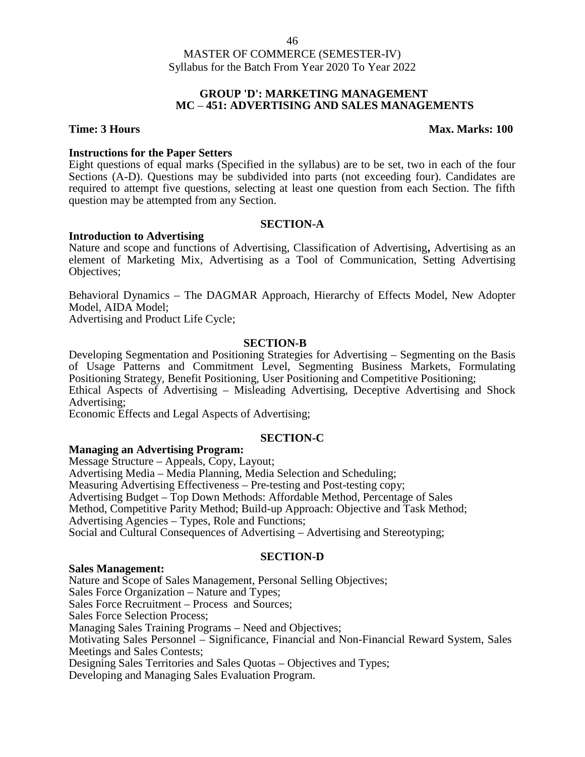### **GROUP 'D': MARKETING MANAGEMENT MC** *–* **451: ADVERTISING AND SALES MANAGEMENTS**

## **Time: 3 Hours Max. Marks: 100**

### **Instructions for the Paper Setters**

Eight questions of equal marks (Specified in the syllabus) are to be set, two in each of the four Sections (A-D). Questions may be subdivided into parts (not exceeding four). Candidates are required to attempt five questions, selecting at least one question from each Section. The fifth question may be attempted from any Section.

# **SECTION-A**

### **Introduction to Advertising**

Nature and scope and functions of Advertising, Classification of Advertising**,** Advertising as an element of Marketing Mix, Advertising as a Tool of Communication, Setting Advertising Objectives;

Behavioral Dynamics – The DAGMAR Approach, Hierarchy of Effects Model, New Adopter Model, AIDA Model;

Advertising and Product Life Cycle;

### **SECTION-B**

Developing Segmentation and Positioning Strategies for Advertising – Segmenting on the Basis of Usage Patterns and Commitment Level, Segmenting Business Markets, Formulating Positioning Strategy, Benefit Positioning, User Positioning and Competitive Positioning; Ethical Aspects of Advertising – Misleading Advertising, Deceptive Advertising and Shock Advertising;

Economic Effects and Legal Aspects of Advertising;

# **SECTION-C**

#### **Managing an Advertising Program:**

Message Structure – Appeals, Copy, Layout; Advertising Media – Media Planning, Media Selection and Scheduling; Measuring Advertising Effectiveness – Pre-testing and Post-testing copy; Advertising Budget – Top Down Methods: Affordable Method, Percentage of Sales Method, Competitive Parity Method; Build-up Approach: Objective and Task Method; Advertising Agencies – Types, Role and Functions; Social and Cultural Consequences of Advertising – Advertising and Stereotyping;

# **SECTION-D**

# **Sales Management:**

Nature and Scope of Sales Management, Personal Selling Objectives; Sales Force Organization – Nature and Types; Sales Force Recruitment – Process and Sources; Sales Force Selection Process; Managing Sales Training Programs – Need and Objectives; Motivating Sales Personnel – Significance, Financial and Non-Financial Reward System, Sales Meetings and Sales Contests; Designing Sales Territories and Sales Quotas – Objectives and Types; Developing and Managing Sales Evaluation Program.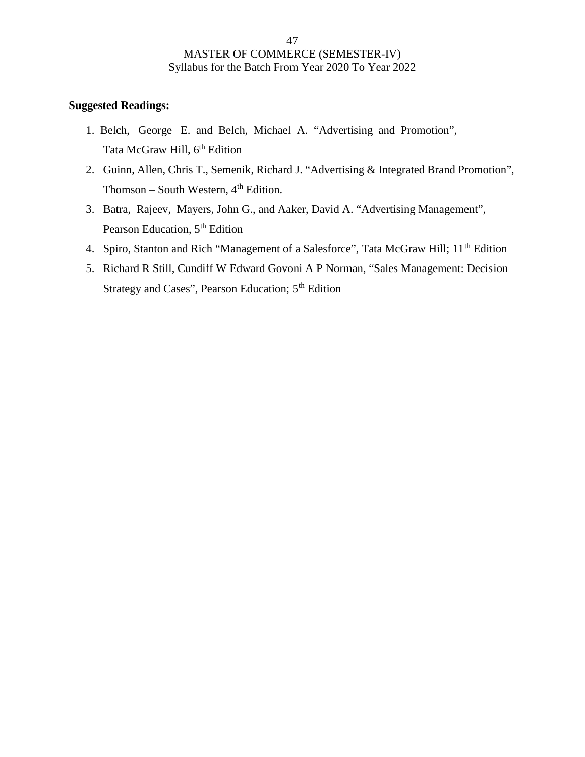- 1. Belch, George E. and Belch, Michael A. "Advertising and Promotion", Tata McGraw Hill, 6<sup>th</sup> Edition
- 2. Guinn, Allen, Chris T., Semenik, Richard J. "Advertising & Integrated Brand Promotion", Thomson – South Western,  $4<sup>th</sup>$  Edition.
- 3. Batra, Rajeev, Mayers, John G., and Aaker, David A. "Advertising Management", Pearson Education, 5<sup>th</sup> Edition
- 4. Spiro, Stanton and Rich "Management of a Salesforce", Tata McGraw Hill; 11<sup>th</sup> Edition
- 5. Richard R Still, Cundiff W Edward Govoni A P Norman, "Sales Management: Decision Strategy and Cases", Pearson Education; 5th Edition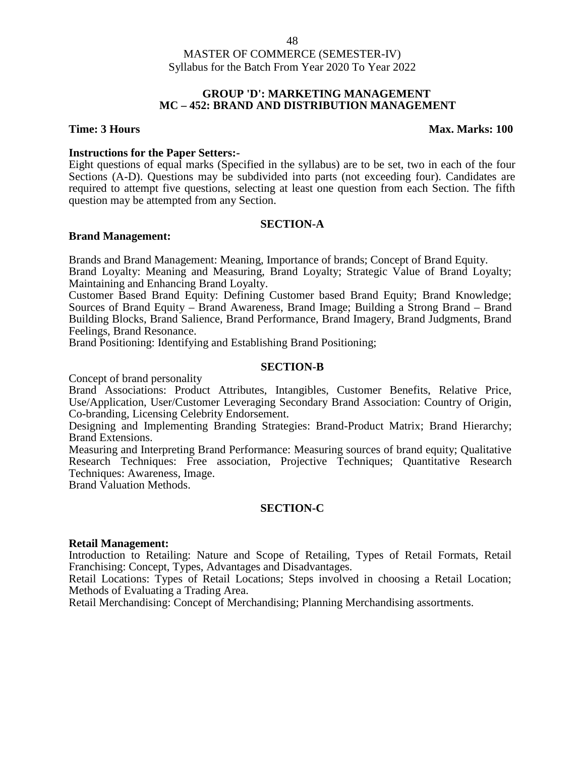#### **GROUP 'D': MARKETING MANAGEMENT MC – 452: BRAND AND DISTRIBUTION MANAGEMENT**

### **Time: 3 Hours Max. Marks: 100**

### **Instructions for the Paper Setters:-**

Eight questions of equal marks (Specified in the syllabus) are to be set, two in each of the four Sections (A-D). Questions may be subdivided into parts (not exceeding four). Candidates are required to attempt five questions, selecting at least one question from each Section. The fifth question may be attempted from any Section.

### **SECTION-A**

### **Brand Management:**

Brands and Brand Management: Meaning, Importance of brands; Concept of Brand Equity. Brand Loyalty: Meaning and Measuring, Brand Loyalty; Strategic Value of Brand Loyalty; Maintaining and Enhancing Brand Loyalty.

Customer Based Brand Equity: Defining Customer based Brand Equity; Brand Knowledge; Sources of Brand Equity – Brand Awareness, Brand Image; Building a Strong Brand – Brand Building Blocks, Brand Salience, Brand Performance, Brand Imagery, Brand Judgments, Brand Feelings, Brand Resonance.

Brand Positioning: Identifying and Establishing Brand Positioning;

### **SECTION-B**

Concept of brand personality

Brand Associations: Product Attributes, Intangibles, Customer Benefits, Relative Price, Use/Application, User/Customer Leveraging Secondary Brand Association: Country of Origin, Co-branding, Licensing Celebrity Endorsement.

Designing and Implementing Branding Strategies: Brand-Product Matrix; Brand Hierarchy; Brand Extensions.

Measuring and Interpreting Brand Performance: Measuring sources of brand equity; Qualitative Research Techniques: Free association, Projective Techniques; Quantitative Research Techniques: Awareness, Image.

Brand Valuation Methods.

# **SECTION-C**

#### **Retail Management:**

Introduction to Retailing: Nature and Scope of Retailing, Types of Retail Formats, Retail Franchising: Concept, Types, Advantages and Disadvantages.

Retail Locations: Types of Retail Locations; Steps involved in choosing a Retail Location; Methods of Evaluating a Trading Area.

Retail Merchandising: Concept of Merchandising; Planning Merchandising assortments.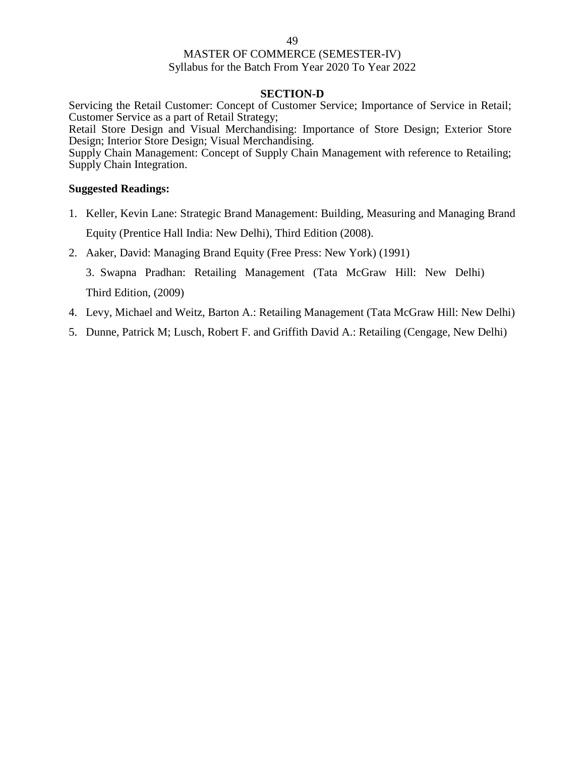#### **SECTION-D**

Servicing the Retail Customer: Concept of Customer Service; Importance of Service in Retail; Customer Service as a part of Retail Strategy;

Retail Store Design and Visual Merchandising: Importance of Store Design; Exterior Store Design; Interior Store Design; Visual Merchandising.

Supply Chain Management: Concept of Supply Chain Management with reference to Retailing; Supply Chain Integration.

### **Suggested Readings:**

- 1. Keller, Kevin Lane: Strategic Brand Management: Building, Measuring and Managing Brand Equity (Prentice Hall India: New Delhi), Third Edition (2008).
- 2. Aaker, David: Managing Brand Equity (Free Press: New York) (1991)

3. Swapna Pradhan: Retailing Management (Tata McGraw Hill: New Delhi) Third Edition, (2009)

- 4. Levy, Michael and Weitz, Barton A.: Retailing Management (Tata McGraw Hill: New Delhi)
- 5. Dunne, Patrick M; Lusch, Robert F. and Griffith David A.: Retailing (Cengage, New Delhi)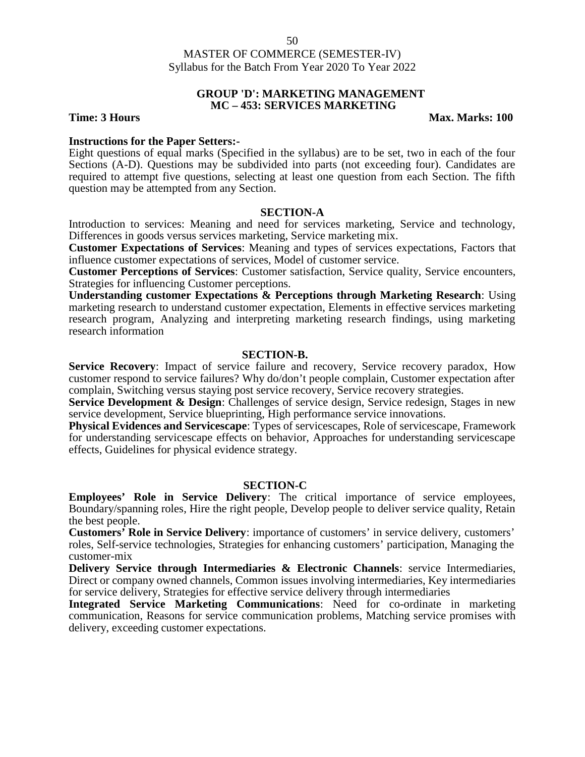#### **GROUP 'D': MARKETING MANAGEMENT MC – 453: SERVICES MARKETING**

**Time: 3 Hours Max. Marks: 100** 

### **Instructions for the Paper Setters:-**

Eight questions of equal marks (Specified in the syllabus) are to be set, two in each of the four Sections (A-D). Questions may be subdivided into parts (not exceeding four). Candidates are required to attempt five questions, selecting at least one question from each Section. The fifth question may be attempted from any Section.

### **SECTION-A**

Introduction to services: Meaning and need for services marketing, Service and technology, Differences in goods versus services marketing, Service marketing mix.

**Customer Expectations of Services**: Meaning and types of services expectations, Factors that influence customer expectations of services, Model of customer service.

**Customer Perceptions of Services**: Customer satisfaction, Service quality, Service encounters, Strategies for influencing Customer perceptions.

**Understanding customer Expectations & Perceptions through Marketing Research**: Using marketing research to understand customer expectation, Elements in effective services marketing research program, Analyzing and interpreting marketing research findings, using marketing research information

### **SECTION-B.**

**Service Recovery**: Impact of service failure and recovery, Service recovery paradox, How customer respond to service failures? Why do/don't people complain, Customer expectation after complain, Switching versus staying post service recovery, Service recovery strategies.

**Service Development & Design:** Challenges of service design, Service redesign, Stages in new service development, Service blueprinting, High performance service innovations.

**Physical Evidences and Servicescape**: Types of servicescapes, Role of servicescape, Framework for understanding servicescape effects on behavior, Approaches for understanding servicescape effects, Guidelines for physical evidence strategy.

#### **SECTION-C**

**Employees' Role in Service Delivery**: The critical importance of service employees, Boundary/spanning roles, Hire the right people, Develop people to deliver service quality, Retain the best people.

**Customers' Role in Service Delivery**: importance of customers' in service delivery, customers' roles, Self-service technologies, Strategies for enhancing customers' participation, Managing the customer-mix

**Delivery Service through Intermediaries & Electronic Channels**: service Intermediaries, Direct or company owned channels, Common issues involving intermediaries, Key intermediaries for service delivery, Strategies for effective service delivery through intermediaries

**Integrated Service Marketing Communications**: Need for co-ordinate in marketing communication, Reasons for service communication problems, Matching service promises with delivery, exceeding customer expectations.